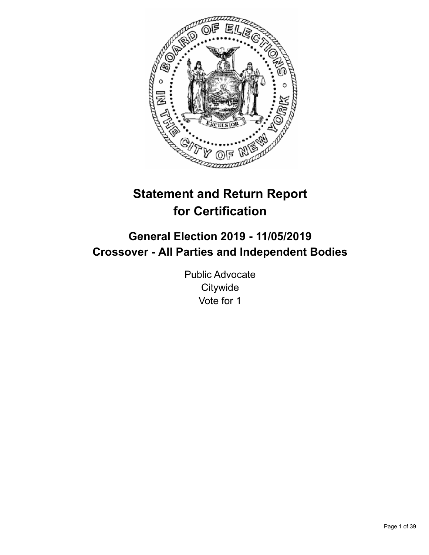

# **Statement and Return Report for Certification**

# **General Election 2019 - 11/05/2019 Crossover - All Parties and Independent Bodies**

Public Advocate **Citywide** Vote for 1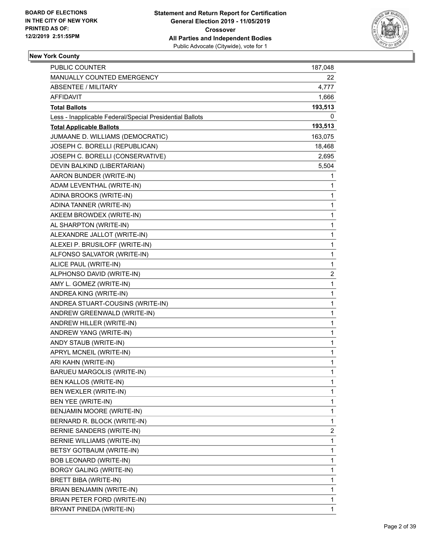

| PUBLIC COUNTER                                           | 187,048        |
|----------------------------------------------------------|----------------|
| MANUALLY COUNTED EMERGENCY                               | 22             |
| ABSENTEE / MILITARY                                      | 4,777          |
| <b>AFFIDAVIT</b>                                         | 1,666          |
| <b>Total Ballots</b>                                     | 193,513        |
| Less - Inapplicable Federal/Special Presidential Ballots | 0              |
| <b>Total Applicable Ballots</b>                          | 193,513        |
| JUMAANE D. WILLIAMS (DEMOCRATIC)                         | 163,075        |
| JOSEPH C. BORELLI (REPUBLICAN)                           | 18,468         |
| JOSEPH C. BORELLI (CONSERVATIVE)                         | 2,695          |
| DEVIN BALKIND (LIBERTARIAN)                              | 5,504          |
| AARON BUNDER (WRITE-IN)                                  | 1              |
| ADAM LEVENTHAL (WRITE-IN)                                | 1              |
| ADINA BROOKS (WRITE-IN)                                  | 1              |
| ADINA TANNER (WRITE-IN)                                  | 1              |
| AKEEM BROWDEX (WRITE-IN)                                 | 1              |
| AL SHARPTON (WRITE-IN)                                   | 1              |
| ALEXANDRE JALLOT (WRITE-IN)                              | 1              |
| ALEXEI P. BRUSILOFF (WRITE-IN)                           | 1              |
| ALFONSO SALVATOR (WRITE-IN)                              | 1              |
| ALICE PAUL (WRITE-IN)                                    | 1              |
| ALPHONSO DAVID (WRITE-IN)                                | 2              |
| AMY L. GOMEZ (WRITE-IN)                                  | 1              |
| ANDREA KING (WRITE-IN)                                   | 1              |
| ANDREA STUART-COUSINS (WRITE-IN)                         | 1              |
| ANDREW GREENWALD (WRITE-IN)                              | 1              |
| ANDREW HILLER (WRITE-IN)                                 | 1              |
| ANDREW YANG (WRITE-IN)                                   | 1              |
| ANDY STAUB (WRITE-IN)                                    | 1              |
| APRYL MCNEIL (WRITE-IN)                                  | 1              |
| ARI KAHN (WRITE-IN)                                      | 1              |
| BARUEU MARGOLIS (WRITE-IN)                               | 1              |
| BEN KALLOS (WRITE-IN)                                    | 1              |
| BEN WEXLER (WRITE-IN)                                    | 1              |
| BEN YEE (WRITE-IN)                                       | 1              |
| BENJAMIN MOORE (WRITE-IN)                                | 1              |
| BERNARD R. BLOCK (WRITE-IN)                              | 1              |
| <b>BERNIE SANDERS (WRITE-IN)</b>                         | $\overline{c}$ |
| BERNIE WILLIAMS (WRITE-IN)                               | 1              |
| BETSY GOTBAUM (WRITE-IN)                                 | 1              |
| BOB LEONARD (WRITE-IN)                                   | 1              |
| BORGY GALING (WRITE-IN)                                  | 1              |
| BRETT BIBA (WRITE-IN)                                    | 1              |
| BRIAN BENJAMIN (WRITE-IN)                                | 1              |
| BRIAN PETER FORD (WRITE-IN)                              | 1              |
| BRYANT PINEDA (WRITE-IN)                                 | 1              |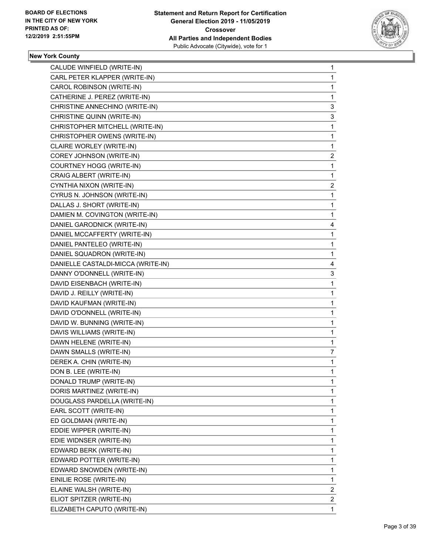

| CALUDE WINFIELD (WRITE-IN)         | $\mathbf{1}$   |
|------------------------------------|----------------|
| CARL PETER KLAPPER (WRITE-IN)      | 1              |
| CAROL ROBINSON (WRITE-IN)          | $\mathbf 1$    |
| CATHERINE J. PEREZ (WRITE-IN)      | 1              |
| CHRISTINE ANNECHINO (WRITE-IN)     | 3              |
| CHRISTINE QUINN (WRITE-IN)         | 3              |
| CHRISTOPHER MITCHELL (WRITE-IN)    | 1              |
| CHRISTOPHER OWENS (WRITE-IN)       | 1              |
| CLAIRE WORLEY (WRITE-IN)           | $\mathbf{1}$   |
| COREY JOHNSON (WRITE-IN)           | 2              |
| COURTNEY HOGG (WRITE-IN)           | 1              |
| CRAIG ALBERT (WRITE-IN)            | $\mathbf{1}$   |
| CYNTHIA NIXON (WRITE-IN)           | $\overline{c}$ |
| CYRUS N. JOHNSON (WRITE-IN)        | 1              |
| DALLAS J. SHORT (WRITE-IN)         | 1              |
| DAMIEN M. COVINGTON (WRITE-IN)     | 1              |
| DANIEL GARODNICK (WRITE-IN)        | 4              |
| DANIEL MCCAFFERTY (WRITE-IN)       | 1              |
| DANIEL PANTELEO (WRITE-IN)         | 1              |
| DANIEL SQUADRON (WRITE-IN)         | 1              |
| DANIELLE CASTALDI-MICCA (WRITE-IN) | 4              |
| DANNY O'DONNELL (WRITE-IN)         | 3              |
| DAVID EISENBACH (WRITE-IN)         | 1              |
| DAVID J. REILLY (WRITE-IN)         | 1              |
| DAVID KAUFMAN (WRITE-IN)           | 1              |
| DAVID O'DONNELL (WRITE-IN)         | 1              |
| DAVID W. BUNNING (WRITE-IN)        | 1              |
| DAVIS WILLIAMS (WRITE-IN)          | 1              |
| DAWN HELENE (WRITE-IN)             | 1              |
| DAWN SMALLS (WRITE-IN)             | 7              |
| DEREK A. CHIN (WRITE-IN)           | 1              |
| DON B. LEE (WRITE-IN)              | 1              |
| DONALD TRUMP (WRITE-IN)            | 1              |
| DORIS MARTINEZ (WRITE-IN)          | $\mathbf{1}$   |
| DOUGLASS PARDELLA (WRITE-IN)       | 1              |
| EARL SCOTT (WRITE-IN)              | 1              |
| ED GOLDMAN (WRITE-IN)              | 1              |
| EDDIE WIPPER (WRITE-IN)            | 1              |
| EDIE WIDNSER (WRITE-IN)            | 1              |
| EDWARD BERK (WRITE-IN)             | 1              |
| EDWARD POTTER (WRITE-IN)           | 1              |
| EDWARD SNOWDEN (WRITE-IN)          | 1              |
| EINILIE ROSE (WRITE-IN)            | 1              |
| ELAINE WALSH (WRITE-IN)            | $\overline{2}$ |
| ELIOT SPITZER (WRITE-IN)           | $\overline{2}$ |
| ELIZABETH CAPUTO (WRITE-IN)        | 1              |
|                                    |                |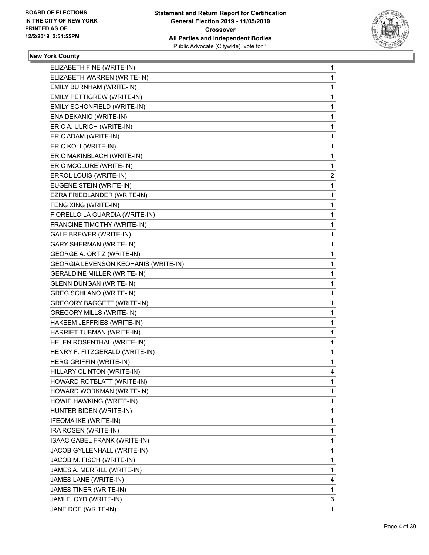

| ELIZABETH FINE (WRITE-IN)                   | 1 |
|---------------------------------------------|---|
| ELIZABETH WARREN (WRITE-IN)                 | 1 |
| EMILY BURNHAM (WRITE-IN)                    | 1 |
| EMILY PETTIGREW (WRITE-IN)                  | 1 |
| EMILY SCHONFIELD (WRITE-IN)                 | 1 |
| ENA DEKANIC (WRITE-IN)                      | 1 |
| ERIC A. ULRICH (WRITE-IN)                   | 1 |
| ERIC ADAM (WRITE-IN)                        | 1 |
| ERIC KOLI (WRITE-IN)                        | 1 |
| ERIC MAKINBLACH (WRITE-IN)                  | 1 |
| ERIC MCCLURE (WRITE-IN)                     | 1 |
| ERROL LOUIS (WRITE-IN)                      | 2 |
| EUGENE STEIN (WRITE-IN)                     | 1 |
| EZRA FRIEDLANDER (WRITE-IN)                 | 1 |
| FENG XING (WRITE-IN)                        | 1 |
| FIORELLO LA GUARDIA (WRITE-IN)              | 1 |
| FRANCINE TIMOTHY (WRITE-IN)                 | 1 |
| <b>GALE BREWER (WRITE-IN)</b>               | 1 |
| <b>GARY SHERMAN (WRITE-IN)</b>              | 1 |
| GEORGE A. ORTIZ (WRITE-IN)                  | 1 |
| <b>GEORGIA LEVENSON KEOHANIS (WRITE-IN)</b> | 1 |
| <b>GERALDINE MILLER (WRITE-IN)</b>          | 1 |
| <b>GLENN DUNGAN (WRITE-IN)</b>              | 1 |
| <b>GREG SCHLANO (WRITE-IN)</b>              | 1 |
| GREGORY BAGGETT (WRITE-IN)                  | 1 |
| <b>GREGORY MILLS (WRITE-IN)</b>             | 1 |
| HAKEEM JEFFRIES (WRITE-IN)                  | 1 |
| HARRIET TUBMAN (WRITE-IN)                   | 1 |
| HELEN ROSENTHAL (WRITE-IN)                  | 1 |
| HENRY F. FITZGERALD (WRITE-IN)              | 1 |
| HERG GRIFFIN (WRITE-IN)                     | 1 |
| HILLARY CLINTON (WRITE-IN)                  | 4 |
| HOWARD ROTBLATT (WRITE-IN)                  | 1 |
| HOWARD WORKMAN (WRITE-IN)                   | 1 |
| HOWIE HAWKING (WRITE-IN)                    | 1 |
| HUNTER BIDEN (WRITE-IN)                     | 1 |
| IFEOMA IKE (WRITE-IN)                       | 1 |
| IRA ROSEN (WRITE-IN)                        | 1 |
| ISAAC GABEL FRANK (WRITE-IN)                | 1 |
| JACOB GYLLENHALL (WRITE-IN)                 | 1 |
| JACOB M. FISCH (WRITE-IN)                   | 1 |
| JAMES A. MERRILL (WRITE-IN)                 | 1 |
| JAMES LANE (WRITE-IN)                       | 4 |
| JAMES TINER (WRITE-IN)                      | 1 |
| JAMI FLOYD (WRITE-IN)                       | 3 |
| JANE DOE (WRITE-IN)                         | 1 |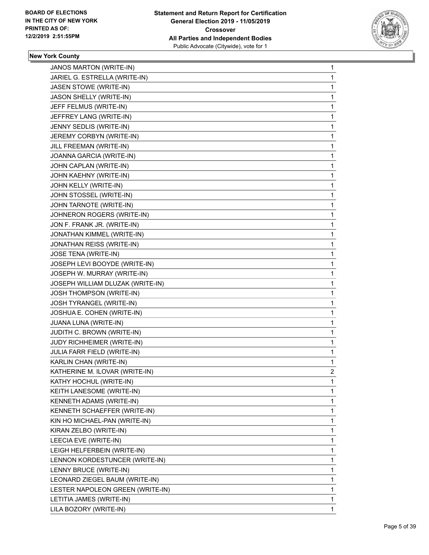

| JANOS MARTON (WRITE-IN)          | 1            |
|----------------------------------|--------------|
| JARIEL G. ESTRELLA (WRITE-IN)    | 1            |
| JASEN STOWE (WRITE-IN)           | 1            |
| JASON SHELLY (WRITE-IN)          | 1            |
| JEFF FELMUS (WRITE-IN)           | 1            |
| JEFFREY LANG (WRITE-IN)          | 1            |
| JENNY SEDLIS (WRITE-IN)          | 1            |
| JEREMY CORBYN (WRITE-IN)         | 1            |
| JILL FREEMAN (WRITE-IN)          | 1            |
| JOANNA GARCIA (WRITE-IN)         | 1            |
| JOHN CAPLAN (WRITE-IN)           | 1            |
| JOHN KAEHNY (WRITE-IN)           | 1            |
| JOHN KELLY (WRITE-IN)            | 1            |
| JOHN STOSSEL (WRITE-IN)          | 1            |
| JOHN TARNOTE (WRITE-IN)          | 1            |
| JOHNERON ROGERS (WRITE-IN)       | 1            |
| JON F. FRANK JR. (WRITE-IN)      | 1            |
| JONATHAN KIMMEL (WRITE-IN)       | 1            |
| JONATHAN REISS (WRITE-IN)        | 1            |
| JOSE TENA (WRITE-IN)             | 1            |
| JOSEPH LEVI BOOYDE (WRITE-IN)    | 1            |
| JOSEPH W. MURRAY (WRITE-IN)      | 1            |
| JOSEPH WILLIAM DLUZAK (WRITE-IN) | 1            |
| JOSH THOMPSON (WRITE-IN)         | 1            |
| JOSH TYRANGEL (WRITE-IN)         | 1            |
| JOSHUA E. COHEN (WRITE-IN)       | 1            |
| JUANA LUNA (WRITE-IN)            | 1            |
| JUDITH C. BROWN (WRITE-IN)       | 1            |
| JUDY RICHHEIMER (WRITE-IN)       | 1            |
| JULIA FARR FIELD (WRITE-IN)      | 1            |
| KARLIN CHAN (WRITE-IN)           | 1            |
| KATHERINE M. ILOVAR (WRITE-IN)   | 2            |
| KATHY HOCHUL (WRITE-IN)          | 1            |
| KEITH LANESOME (WRITE-IN)        | 1            |
| KENNETH ADAMS (WRITE-IN)         | 1            |
| KENNETH SCHAEFFER (WRITE-IN)     | 1            |
| KIN HO MICHAEL-PAN (WRITE-IN)    | 1            |
| KIRAN ZELBO (WRITE-IN)           | 1            |
| LEECIA EVE (WRITE-IN)            | 1            |
| LEIGH HELFERBEIN (WRITE-IN)      | 1            |
| LENNON KORDESTUNCER (WRITE-IN)   | 1            |
| LENNY BRUCE (WRITE-IN)           | 1            |
| LEONARD ZIEGEL BAUM (WRITE-IN)   | 1            |
| LESTER NAPOLEON GREEN (WRITE-IN) | 1            |
| LETITIA JAMES (WRITE-IN)         | 1            |
| LILA BOZORY (WRITE-IN)           | $\mathbf{1}$ |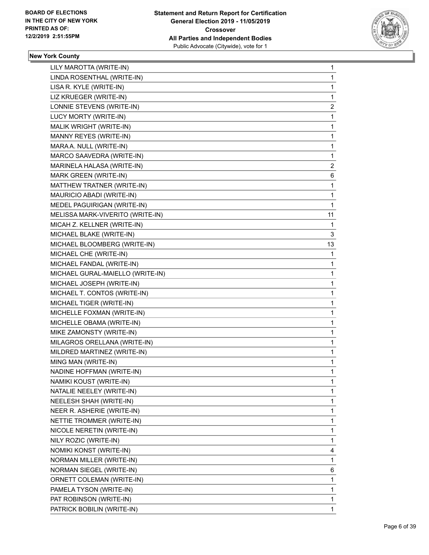

| LILY MAROTTA (WRITE-IN)          | 1            |
|----------------------------------|--------------|
| LINDA ROSENTHAL (WRITE-IN)       | 1            |
| LISA R. KYLE (WRITE-IN)          | 1            |
| LIZ KRUEGER (WRITE-IN)           | 1            |
| LONNIE STEVENS (WRITE-IN)        | 2            |
| LUCY MORTY (WRITE-IN)            | 1            |
| MALIK WRIGHT (WRITE-IN)          | 1            |
| MANNY REYES (WRITE-IN)           | 1            |
| MARA A. NULL (WRITE-IN)          | 1            |
| MARCO SAAVEDRA (WRITE-IN)        | 1            |
| MARINELA HALASA (WRITE-IN)       | 2            |
| MARK GREEN (WRITE-IN)            | 6            |
| MATTHEW TRATNER (WRITE-IN)       | 1            |
| MAURICIO ABADI (WRITE-IN)        | 1            |
| MEDEL PAGUIRIGAN (WRITE-IN)      | 1            |
| MELISSA MARK-VIVERITO (WRITE-IN) | 11           |
| MICAH Z. KELLNER (WRITE-IN)      | 1            |
| MICHAEL BLAKE (WRITE-IN)         | 3            |
| MICHAEL BLOOMBERG (WRITE-IN)     | 13           |
| MICHAEL CHE (WRITE-IN)           | 1            |
| MICHAEL FANDAL (WRITE-IN)        | 1            |
| MICHAEL GURAL-MAIELLO (WRITE-IN) | 1            |
| MICHAEL JOSEPH (WRITE-IN)        | 1            |
| MICHAEL T. CONTOS (WRITE-IN)     | 1            |
| MICHAEL TIGER (WRITE-IN)         | 1            |
| MICHELLE FOXMAN (WRITE-IN)       | 1            |
| MICHELLE OBAMA (WRITE-IN)        | 1            |
| MIKE ZAMONSTY (WRITE-IN)         | 1            |
| MILAGROS ORELLANA (WRITE-IN)     | 1            |
| MILDRED MARTINEZ (WRITE-IN)      | $\mathbf{1}$ |
| MING MAN (WRITE-IN)              | 1            |
| NADINE HOFFMAN (WRITE-IN)        | 1            |
| NAMIKI KOUST (WRITE-IN)          | 1            |
| NATALIE NEELEY (WRITE-IN)        | 1            |
| NEELESH SHAH (WRITE-IN)          | 1            |
| NEER R. ASHERIE (WRITE-IN)       | 1            |
| NETTIE TROMMER (WRITE-IN)        | 1            |
| NICOLE NERETIN (WRITE-IN)        | 1            |
| NILY ROZIC (WRITE-IN)            | 1            |
| NOMIKI KONST (WRITE-IN)          | 4            |
| NORMAN MILLER (WRITE-IN)         | 1            |
| NORMAN SIEGEL (WRITE-IN)         | 6            |
| ORNETT COLEMAN (WRITE-IN)        | 1            |
| PAMELA TYSON (WRITE-IN)          | 1            |
| PAT ROBINSON (WRITE-IN)          | 1            |
| PATRICK BOBILIN (WRITE-IN)       | $\mathbf{1}$ |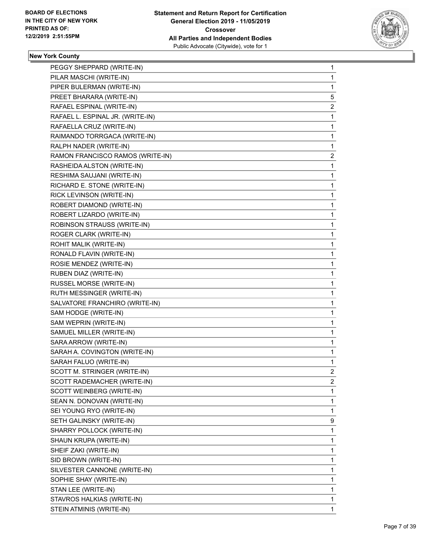

| $\mathbf 1$  |
|--------------|
| 1            |
| 1            |
| 5            |
| 2            |
| 1            |
| 1            |
| 1            |
| 1            |
| 2            |
| 1            |
| 1            |
| 1            |
| 1            |
| 1            |
| 1            |
| $\mathbf 1$  |
| 1            |
| 1            |
| 1            |
| 1            |
| 1            |
| $\mathbf{1}$ |
| 1            |
| 1            |
| 1            |
| 1            |
|              |
| 1            |
| $\mathbf{1}$ |
| 1            |
| 1            |
| 2            |
| 2            |
| 1            |
| 1            |
| 1            |
| 9            |
| $\mathbf 1$  |
| 1            |
| 1            |
| 1            |
| 1            |
| 1            |
| $\mathbf{1}$ |
| 1            |
|              |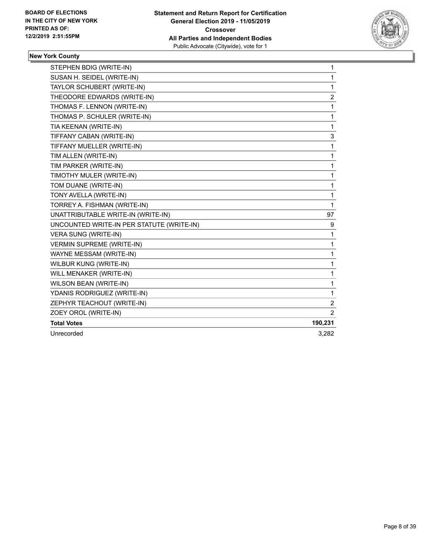

| STEPHEN BDIG (WRITE-IN)                   | $\mathbf 1$    |
|-------------------------------------------|----------------|
| SUSAN H. SEIDEL (WRITE-IN)                | 1              |
| TAYLOR SCHUBERT (WRITE-IN)                | 1              |
| THEODORE EDWARDS (WRITE-IN)               | 2              |
| THOMAS F. LENNON (WRITE-IN)               | 1              |
| THOMAS P. SCHULER (WRITE-IN)              | 1              |
| TIA KEENAN (WRITE-IN)                     | 1              |
| TIFFANY CABAN (WRITE-IN)                  | 3              |
| TIFFANY MUELLER (WRITE-IN)                | 1              |
| TIM ALLEN (WRITE-IN)                      | 1              |
| TIM PARKER (WRITE-IN)                     | 1              |
| TIMOTHY MULER (WRITE-IN)                  | 1              |
| TOM DUANE (WRITE-IN)                      | 1              |
| TONY AVELLA (WRITE-IN)                    | 1              |
| TORREY A. FISHMAN (WRITE-IN)              | 1              |
| UNATTRIBUTABLE WRITE-IN (WRITE-IN)        | 97             |
| UNCOUNTED WRITE-IN PER STATUTE (WRITE-IN) | 9              |
| <b>VERA SUNG (WRITE-IN)</b>               | 1              |
| <b>VERMIN SUPREME (WRITE-IN)</b>          | 1              |
| WAYNE MESSAM (WRITE-IN)                   | 1              |
| WILBUR KUNG (WRITE-IN)                    | 1              |
| WILL MENAKER (WRITE-IN)                   | 1              |
| WILSON BEAN (WRITE-IN)                    | 1              |
| YDANIS RODRIGUEZ (WRITE-IN)               | 1              |
| ZEPHYR TEACHOUT (WRITE-IN)                | 2              |
| ZOEY OROL (WRITE-IN)                      | $\overline{2}$ |
| <b>Total Votes</b>                        | 190,231        |
| Unrecorded                                | 3,282          |
|                                           |                |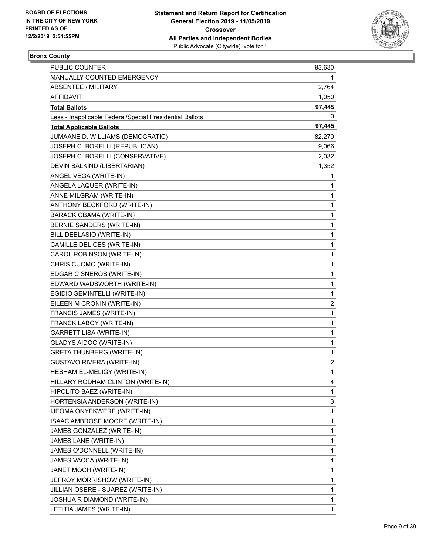

# **Bronx County**

| PUBLIC COUNTER                                           | 93,630                  |
|----------------------------------------------------------|-------------------------|
| MANUALLY COUNTED EMERGENCY                               | 1.                      |
| ABSENTEE / MILITARY                                      | 2,764                   |
| AFFIDAVIT                                                | 1,050                   |
| <b>Total Ballots</b>                                     | 97,445                  |
| Less - Inapplicable Federal/Special Presidential Ballots | 0                       |
| <b>Total Applicable Ballots</b>                          | 97,445                  |
| JUMAANE D. WILLIAMS (DEMOCRATIC)                         | 82,270                  |
| JOSEPH C. BORELLI (REPUBLICAN)                           | 9,066                   |
| JOSEPH C. BORELLI (CONSERVATIVE)                         | 2,032                   |
| DEVIN BALKIND (LIBERTARIAN)                              | 1,352                   |
| ANGEL VEGA (WRITE-IN)                                    | 1                       |
| ANGELA LAQUER (WRITE-IN)                                 | 1                       |
| ANNE MILGRAM (WRITE-IN)                                  | 1                       |
| ANTHONY BECKFORD (WRITE-IN)                              | 1                       |
| BARACK OBAMA (WRITE-IN)                                  | 1                       |
| BERNIE SANDERS (WRITE-IN)                                | 1                       |
| BILL DEBLASIO (WRITE-IN)                                 | 1                       |
| CAMILLE DELICES (WRITE-IN)                               | 1                       |
| CAROL ROBINSON (WRITE-IN)                                | 1                       |
| CHRIS CUOMO (WRITE-IN)                                   | 1                       |
| EDGAR CISNEROS (WRITE-IN)                                | 1                       |
| EDWARD WADSWORTH (WRITE-IN)                              | 1                       |
| EGIDIO SEMINTELLI (WRITE-IN)                             | 1                       |
| EILEEN M CRONIN (WRITE-IN)                               | 2                       |
| FRANCIS JAMES (WRITE-IN)                                 | 1                       |
| FRANCK LABOY (WRITE-IN)                                  | 1                       |
| <b>GARRETT LISA (WRITE-IN)</b>                           | 1                       |
| GLADYS AIDOO (WRITE-IN)                                  | 1                       |
| <b>GRETA THUNBERG (WRITE-IN)</b>                         | 1                       |
| GUSTAVO RIVERA (WRITE-IN)                                | $\overline{\mathbf{c}}$ |
| HESHAM EL-MELIGY (WRITE-IN)                              | $\mathbf{1}$            |
| HILLARY RODHAM CLINTON (WRITE-IN)                        | 4                       |
| HIPOLITO BAEZ (WRITE-IN)                                 | 1                       |
| HORTENSIA ANDERSON (WRITE-IN)                            | 3                       |
| <b>IJEOMA ONYEKWERE (WRITE-IN)</b>                       | 1                       |
| ISAAC AMBROSE MOORE (WRITE-IN)                           | 1                       |
| JAMES GONZALEZ (WRITE-IN)                                | 1                       |
| JAMES LANE (WRITE-IN)                                    | 1                       |
| JAMES O'DONNELL (WRITE-IN)                               | 1                       |
| JAMES VACCA (WRITE-IN)                                   | 1                       |
| JANET MOCH (WRITE-IN)                                    | 1                       |
| JEFROY MORRISHOW (WRITE-IN)                              | 1                       |
| JILLIAN OSERE - SUAREZ (WRITE-IN)                        | 1                       |
| JOSHUA R DIAMOND (WRITE-IN)                              | 1                       |
| LETITIA JAMES (WRITE-IN)                                 | 1                       |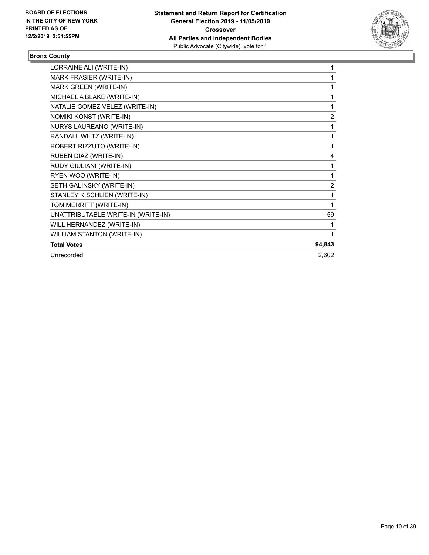

# **Bronx County**

| LORRAINE ALI (WRITE-IN)            | 1              |
|------------------------------------|----------------|
| <b>MARK FRASIER (WRITE-IN)</b>     | 1              |
| MARK GREEN (WRITE-IN)              | 1              |
| MICHAEL A BLAKE (WRITE-IN)         | 1              |
| NATALIE GOMEZ VELEZ (WRITE-IN)     | 1              |
| NOMIKI KONST (WRITE-IN)            | $\overline{2}$ |
| NURYS LAUREANO (WRITE-IN)          | 1              |
| RANDALL WILTZ (WRITE-IN)           | 1              |
| ROBERT RIZZUTO (WRITE-IN)          | 1              |
| RUBEN DIAZ (WRITE-IN)              | 4              |
| RUDY GIULIANI (WRITE-IN)           | 1              |
| RYEN WOO (WRITE-IN)                | 1              |
| SETH GALINSKY (WRITE-IN)           | 2              |
| STANLEY K SCHLIEN (WRITE-IN)       | 1              |
| TOM MERRITT (WRITE-IN)             | 1              |
| UNATTRIBUTABLE WRITE-IN (WRITE-IN) | 59             |
| WILL HERNANDEZ (WRITE-IN)          | 1              |
| <b>WILLIAM STANTON (WRITE-IN)</b>  | 1              |
| <b>Total Votes</b>                 | 94,843         |
| Unrecorded                         | 2,602          |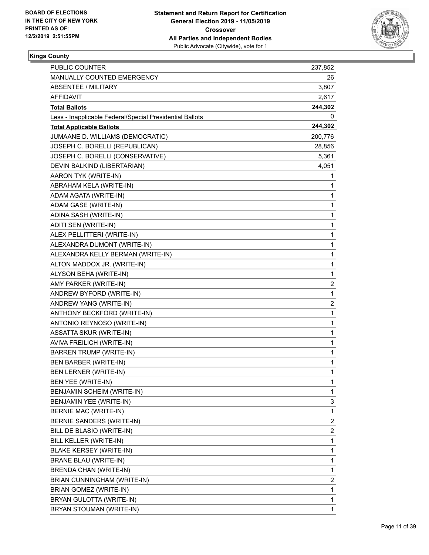

| PUBLIC COUNTER                                           | 237,852                 |
|----------------------------------------------------------|-------------------------|
| MANUALLY COUNTED EMERGENCY                               | 26                      |
| <b>ABSENTEE / MILITARY</b>                               | 3,807                   |
| AFFIDAVIT                                                | 2,617                   |
| <b>Total Ballots</b>                                     | 244,302                 |
| Less - Inapplicable Federal/Special Presidential Ballots | 0                       |
| <b>Total Applicable Ballots</b>                          | 244,302                 |
| JUMAANE D. WILLIAMS (DEMOCRATIC)                         | 200,776                 |
| JOSEPH C. BORELLI (REPUBLICAN)                           | 28,856                  |
| JOSEPH C. BORELLI (CONSERVATIVE)                         | 5,361                   |
| DEVIN BALKIND (LIBERTARIAN)                              | 4,051                   |
| AARON TYK (WRITE-IN)                                     | 1                       |
| ABRAHAM KELA (WRITE-IN)                                  | 1                       |
| ADAM AGATA (WRITE-IN)                                    | 1                       |
| ADAM GASE (WRITE-IN)                                     | 1                       |
| ADINA SASH (WRITE-IN)                                    | 1                       |
| ADITI SEN (WRITE-IN)                                     | 1                       |
| ALEX PELLITTERI (WRITE-IN)                               | 1                       |
| ALEXANDRA DUMONT (WRITE-IN)                              | 1                       |
| ALEXANDRA KELLY BERMAN (WRITE-IN)                        | 1                       |
| ALTON MADDOX JR. (WRITE-IN)                              | 1                       |
| ALYSON BEHA (WRITE-IN)                                   | 1                       |
| AMY PARKER (WRITE-IN)                                    | 2                       |
| ANDREW BYFORD (WRITE-IN)                                 | 1                       |
| ANDREW YANG (WRITE-IN)                                   | 2                       |
| ANTHONY BECKFORD (WRITE-IN)                              | 1                       |
| ANTONIO REYNOSO (WRITE-IN)                               | 1                       |
| ASSATTA SKUR (WRITE-IN)                                  | 1                       |
| AVIVA FREILICH (WRITE-IN)                                | 1                       |
| <b>BARREN TRUMP (WRITE-IN)</b>                           | 1                       |
| <b>BEN BARBER (WRITE-IN)</b>                             | 1                       |
| <b>BEN LERNER (WRITE-IN)</b>                             | 1                       |
| <b>BEN YEE (WRITE-IN)</b>                                | 1                       |
| BENJAMIN SCHEIM (WRITE-IN)                               | 1                       |
| BENJAMIN YEE (WRITE-IN)                                  | 3                       |
| BERNIE MAC (WRITE-IN)                                    | 1                       |
| BERNIE SANDERS (WRITE-IN)                                | $\overline{\mathbf{c}}$ |
| BILL DE BLASIO (WRITE-IN)                                | $\overline{\mathbf{c}}$ |
| BILL KELLER (WRITE-IN)                                   | 1                       |
| <b>BLAKE KERSEY (WRITE-IN)</b>                           | 1                       |
| <b>BRANE BLAU (WRITE-IN)</b>                             | 1                       |
| BRENDA CHAN (WRITE-IN)                                   | 1                       |
| BRIAN CUNNINGHAM (WRITE-IN)                              | 2                       |
| BRIAN GOMEZ (WRITE-IN)                                   | 1                       |
| BRYAN GULOTTA (WRITE-IN)                                 | 1                       |
| BRYAN STOUMAN (WRITE-IN)                                 | 1                       |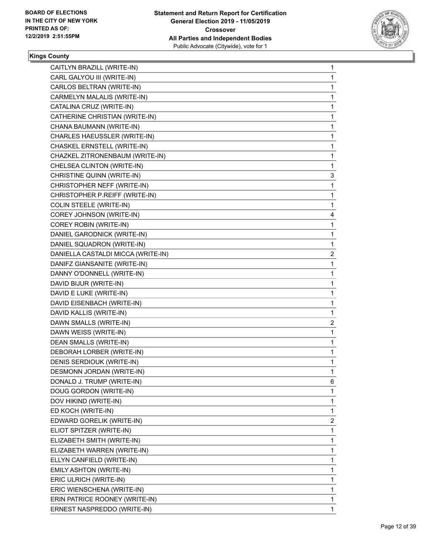

| CAITLYN BRAZILL (WRITE-IN)         | 1              |
|------------------------------------|----------------|
| CARL GALYOU III (WRITE-IN)         | 1              |
| CARLOS BELTRAN (WRITE-IN)          | 1              |
| CARMELYN MALALIS (WRITE-IN)        | 1              |
| CATALINA CRUZ (WRITE-IN)           | 1              |
| CATHERINE CHRISTIAN (WRITE-IN)     | 1              |
| CHANA BAUMANN (WRITE-IN)           | 1              |
| CHARLES HAEUSSLER (WRITE-IN)       | 1              |
| CHASKEL ERNSTELL (WRITE-IN)        | 1              |
| CHAZKEL ZITRONENBAUM (WRITE-IN)    | 1              |
| CHELSEA CLINTON (WRITE-IN)         | 1              |
| CHRISTINE QUINN (WRITE-IN)         | 3              |
| CHRISTOPHER NEFF (WRITE-IN)        | 1              |
| CHRISTOPHER P.REIFF (WRITE-IN)     | 1              |
| <b>COLIN STEELE (WRITE-IN)</b>     | 1              |
| COREY JOHNSON (WRITE-IN)           | 4              |
| COREY ROBIN (WRITE-IN)             | 1              |
| DANIEL GARODNICK (WRITE-IN)        | 1              |
| DANIEL SQUADRON (WRITE-IN)         | 1              |
| DANIELLA CASTALDI MICCA (WRITE-IN) | $\overline{c}$ |
| DANIFZ GIANSANITE (WRITE-IN)       | 1              |
| DANNY O'DONNELL (WRITE-IN)         | 1              |
| DAVID BIJUR (WRITE-IN)             | 1              |
| DAVID E LUKE (WRITE-IN)            | 1              |
| DAVID EISENBACH (WRITE-IN)         | 1              |
| DAVID KALLIS (WRITE-IN)            | 1              |
| DAWN SMALLS (WRITE-IN)             | 2              |
| DAWN WEISS (WRITE-IN)              | 1              |
| <b>DEAN SMALLS (WRITE-IN)</b>      | 1              |
| DEBORAH LORBER (WRITE-IN)          | 1              |
| DENIS SERDIOUK (WRITE-IN)          | 1              |
| DESMONN JORDAN (WRITE-IN)          | 1              |
| DONALD J. TRUMP (WRITE-IN)         | 6              |
| DOUG GORDON (WRITE-IN)             | 1              |
| DOV HIKIND (WRITE-IN)              | 1              |
| ED KOCH (WRITE-IN)                 | 1              |
| EDWARD GORELIK (WRITE-IN)          | 2              |
| ELIOT SPITZER (WRITE-IN)           | 1              |
| ELIZABETH SMITH (WRITE-IN)         | 1              |
| ELIZABETH WARREN (WRITE-IN)        | 1              |
| ELLYN CANFIELD (WRITE-IN)          | 1              |
| EMILY ASHTON (WRITE-IN)            | 1              |
| ERIC ULRICH (WRITE-IN)             | 1              |
| ERIC WIENSCHENA (WRITE-IN)         | 1              |
| ERIN PATRICE ROONEY (WRITE-IN)     | 1              |
| ERNEST NASPREDDO (WRITE-IN)        | 1              |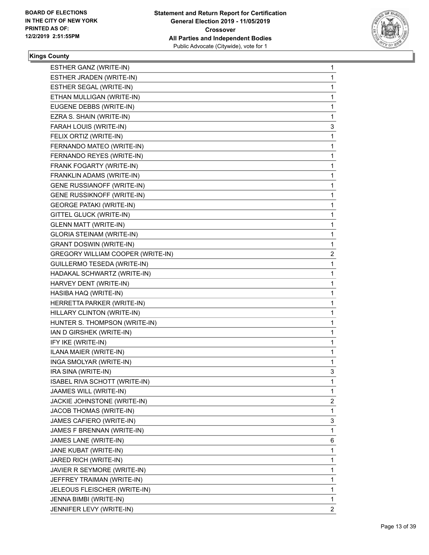

| ESTHER GANZ (WRITE-IN)            | 1              |
|-----------------------------------|----------------|
| ESTHER JRADEN (WRITE-IN)          | 1              |
| ESTHER SEGAL (WRITE-IN)           | 1              |
| ETHAN MULLIGAN (WRITE-IN)         | 1              |
| EUGENE DEBBS (WRITE-IN)           | 1              |
| EZRA S. SHAIN (WRITE-IN)          | 1              |
| FARAH LOUIS (WRITE-IN)            | 3              |
| FELIX ORTIZ (WRITE-IN)            | 1              |
| FERNANDO MATEO (WRITE-IN)         | 1              |
| FERNANDO REYES (WRITE-IN)         | 1              |
| FRANK FOGARTY (WRITE-IN)          | 1              |
| FRANKLIN ADAMS (WRITE-IN)         | 1              |
| <b>GENE RUSSIANOFF (WRITE-IN)</b> | 1              |
| GENE RUSSIKNOFF (WRITE-IN)        | 1              |
| <b>GEORGE PATAKI (WRITE-IN)</b>   | 1              |
| GITTEL GLUCK (WRITE-IN)           | 1              |
| <b>GLENN MATT (WRITE-IN)</b>      | 1              |
| GLORIA STEINAM (WRITE-IN)         | 1              |
| <b>GRANT DOSWIN (WRITE-IN)</b>    | 1              |
| GREGORY WILLIAM COOPER (WRITE-IN) | $\overline{c}$ |
| GUILLERMO TESEDA (WRITE-IN)       | 1              |
| HADAKAL SCHWARTZ (WRITE-IN)       | 1              |
| HARVEY DENT (WRITE-IN)            | 1              |
| HASIBA HAQ (WRITE-IN)             | 1              |
| HERRETTA PARKER (WRITE-IN)        | 1              |
| HILLARY CLINTON (WRITE-IN)        | 1              |
| HUNTER S. THOMPSON (WRITE-IN)     | 1              |
| IAN D GIRSHEK (WRITE-IN)          | 1              |
| IFY IKE (WRITE-IN)                | 1              |
| ILANA MAIER (WRITE-IN)            | 1              |
| INGA SMOLYAR (WRITE-IN)           | 1              |
| IRA SINA (WRITE-IN)               | 3              |
| ISABEL RIVA SCHOTT (WRITE-IN)     | 1              |
| JAAMES WILL (WRITE-IN)            | 1              |
| JACKIE JOHNSTONE (WRITE-IN)       | $\overline{2}$ |
| JACOB THOMAS (WRITE-IN)           | 1              |
| JAMES CAFIERO (WRITE-IN)          | 3              |
| JAMES F BRENNAN (WRITE-IN)        | $\mathbf 1$    |
| JAMES LANE (WRITE-IN)             | 6              |
| JANE KUBAT (WRITE-IN)             | 1              |
| JARED RICH (WRITE-IN)             | 1              |
| JAVIER R SEYMORE (WRITE-IN)       | 1              |
| JEFFREY TRAIMAN (WRITE-IN)        | 1              |
| JELEOUS FLEISCHER (WRITE-IN)      | $\mathbf{1}$   |
| JENNA BIMBI (WRITE-IN)            | 1              |
| JENNIFER LEVY (WRITE-IN)          | $\mathbf{2}$   |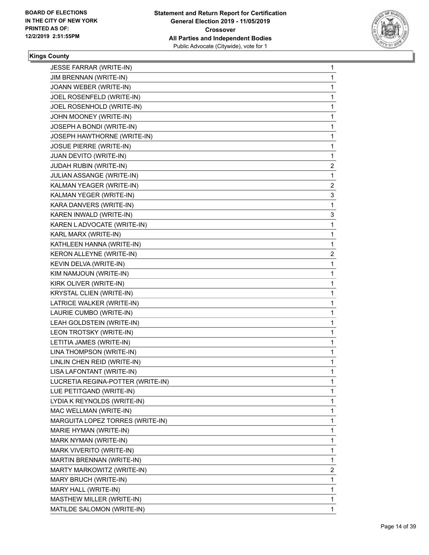

| JESSE FARRAR (WRITE-IN)           | 1              |
|-----------------------------------|----------------|
| JIM BRENNAN (WRITE-IN)            | 1              |
| JOANN WEBER (WRITE-IN)            | 1              |
| JOEL ROSENFELD (WRITE-IN)         | 1              |
| JOEL ROSENHOLD (WRITE-IN)         | 1              |
| JOHN MOONEY (WRITE-IN)            | 1              |
| JOSEPH A BONDI (WRITE-IN)         | 1              |
| JOSEPH HAWTHORNE (WRITE-IN)       | 1              |
| JOSUE PIERRE (WRITE-IN)           | 1              |
| JUAN DEVITO (WRITE-IN)            | 1              |
| JUDAH RUBIN (WRITE-IN)            | $\overline{2}$ |
| JULIAN ASSANGE (WRITE-IN)         | 1              |
| KALMAN YEAGER (WRITE-IN)          | 2              |
| KALMAN YEGER (WRITE-IN)           | 3              |
| KARA DANVERS (WRITE-IN)           | 1              |
| KAREN INWALD (WRITE-IN)           | 3              |
| KAREN LADVOCATE (WRITE-IN)        | 1              |
| KARL MARX (WRITE-IN)              | 1              |
| KATHLEEN HANNA (WRITE-IN)         | 1              |
| KERON ALLEYNE (WRITE-IN)          | $\overline{2}$ |
| KEVIN DELVA (WRITE-IN)            | 1              |
| KIM NAMJOUN (WRITE-IN)            | 1              |
| KIRK OLIVER (WRITE-IN)            | 1              |
| KRYSTAL CLIEN (WRITE-IN)          | 1              |
| LATRICE WALKER (WRITE-IN)         | 1              |
| LAURIE CUMBO (WRITE-IN)           | 1              |
| LEAH GOLDSTEIN (WRITE-IN)         | 1              |
| LEON TROTSKY (WRITE-IN)           | 1              |
| LETITIA JAMES (WRITE-IN)          | 1              |
| LINA THOMPSON (WRITE-IN)          | 1              |
| LINLIN CHEN REID (WRITE-IN)       | 1              |
| LISA LAFONTANT (WRITE-IN)         | 1              |
| LUCRETIA REGINA-POTTER (WRITE-IN) | 1              |
| LUE PETITGAND (WRITE-IN)          | 1              |
| LYDIA K REYNOLDS (WRITE-IN)       | 1              |
| MAC WELLMAN (WRITE-IN)            | 1              |
| MARGUITA LOPEZ TORRES (WRITE-IN)  | 1              |
| MARIE HYMAN (WRITE-IN)            | 1              |
| MARK NYMAN (WRITE-IN)             | 1              |
| MARK VIVERITO (WRITE-IN)          | 1              |
| MARTIN BRENNAN (WRITE-IN)         | 1              |
| MARTY MARKOWITZ (WRITE-IN)        | 2              |
| MARY BRUCH (WRITE-IN)             | 1              |
| MARY HALL (WRITE-IN)              | 1              |
| MASTHEW MILLER (WRITE-IN)         | 1              |
| MATILDE SALOMON (WRITE-IN)        | $\mathbf{1}$   |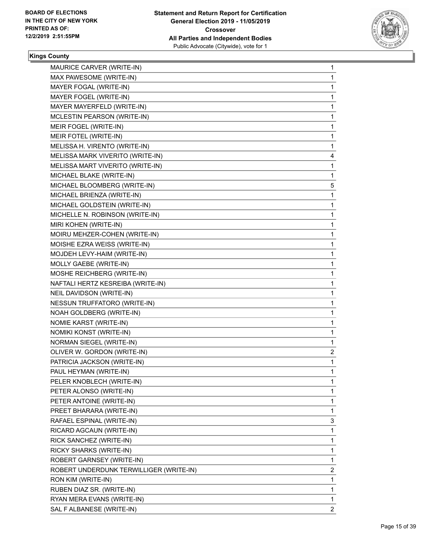

| MAURICE CARVER (WRITE-IN)               | 1              |
|-----------------------------------------|----------------|
| MAX PAWESOME (WRITE-IN)                 | 1              |
| MAYER FOGAL (WRITE-IN)                  | 1              |
| MAYER FOGEL (WRITE-IN)                  | 1              |
| MAYER MAYERFELD (WRITE-IN)              | 1              |
| MCLESTIN PEARSON (WRITE-IN)             | 1              |
| MEIR FOGEL (WRITE-IN)                   | 1              |
| MEIR FOTEL (WRITE-IN)                   | 1              |
| MELISSA H. VIRENTO (WRITE-IN)           | 1              |
| MELISSA MARK VIVERITO (WRITE-IN)        | 4              |
| MELISSA MART VIVERITO (WRITE-IN)        | 1              |
| MICHAEL BLAKE (WRITE-IN)                | 1              |
| MICHAEL BLOOMBERG (WRITE-IN)            | 5              |
| MICHAEL BRIENZA (WRITE-IN)              | 1              |
| MICHAEL GOLDSTEIN (WRITE-IN)            | 1              |
| MICHELLE N. ROBINSON (WRITE-IN)         | 1              |
| MIRI KOHEN (WRITE-IN)                   | 1              |
| MOIRU MEHZER-COHEN (WRITE-IN)           | 1              |
| MOISHE EZRA WEISS (WRITE-IN)            | 1              |
| MOJDEH LEVY-HAIM (WRITE-IN)             | 1              |
| MOLLY GAEBE (WRITE-IN)                  | 1              |
| MOSHE REICHBERG (WRITE-IN)              | $\mathbf{1}$   |
| NAFTALI HERTZ KESREIBA (WRITE-IN)       | 1              |
| NEIL DAVIDSON (WRITE-IN)                | 1              |
| NESSUN TRUFFATORO (WRITE-IN)            | 1              |
| NOAH GOLDBERG (WRITE-IN)                | 1              |
| NOMIE KARST (WRITE-IN)                  | 1              |
| NOMIKI KONST (WRITE-IN)                 | $\mathbf{1}$   |
| NORMAN SIEGEL (WRITE-IN)                | 1              |
| OLIVER W. GORDON (WRITE-IN)             | $\overline{c}$ |
| PATRICIA JACKSON (WRITE-IN)             | 1              |
| PAUL HEYMAN (WRITE-IN)                  | 1              |
| PELER KNOBLECH (WRITE-IN)               | 1              |
| PETER ALONSO (WRITE-IN)                 | 1              |
| PETER ANTOINE (WRITE-IN)                | 1              |
| PREET BHARARA (WRITE-IN)                | 1              |
| RAFAEL ESPINAL (WRITE-IN)               | 3              |
| RICARD AGCAUN (WRITE-IN)                | 1              |
| RICK SANCHEZ (WRITE-IN)                 | 1              |
| RICKY SHARKS (WRITE-IN)                 | 1              |
| ROBERT GARNSEY (WRITE-IN)               | 1              |
| ROBERT UNDERDUNK TERWILLIGER (WRITE-IN) | $\overline{2}$ |
| RON KIM (WRITE-IN)                      | 1              |
| RUBEN DIAZ SR. (WRITE-IN)               | 1              |
| RYAN MERA EVANS (WRITE-IN)              | 1              |
| SAL F ALBANESE (WRITE-IN)               | $\overline{2}$ |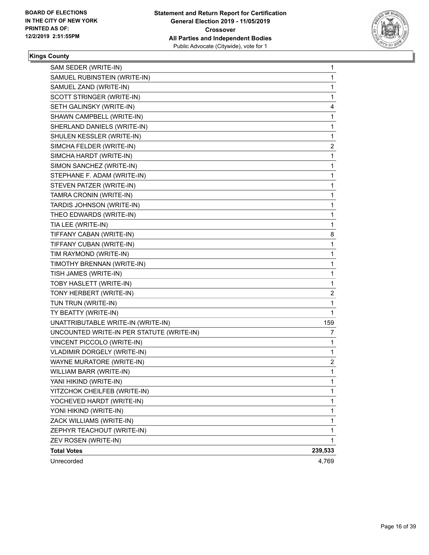

| SAM SEDER (WRITE-IN)                      | 1       |
|-------------------------------------------|---------|
| SAMUEL RUBINSTEIN (WRITE-IN)              | 1       |
| SAMUEL ZAND (WRITE-IN)                    | 1       |
| SCOTT STRINGER (WRITE-IN)                 | 1       |
| SETH GALINSKY (WRITE-IN)                  | 4       |
| SHAWN CAMPBELL (WRITE-IN)                 | 1       |
| SHERLAND DANIELS (WRITE-IN)               | 1       |
| SHULEN KESSLER (WRITE-IN)                 | 1       |
| SIMCHA FELDER (WRITE-IN)                  | 2       |
| SIMCHA HARDT (WRITE-IN)                   | 1       |
| SIMON SANCHEZ (WRITE-IN)                  | 1       |
| STEPHANE F. ADAM (WRITE-IN)               | 1       |
| STEVEN PATZER (WRITE-IN)                  | 1       |
| TAMRA CRONIN (WRITE-IN)                   | 1       |
| TARDIS JOHNSON (WRITE-IN)                 | 1       |
| THEO EDWARDS (WRITE-IN)                   | 1       |
| TIA LEE (WRITE-IN)                        | 1       |
| TIFFANY CABAN (WRITE-IN)                  | 8       |
| TIFFANY CUBAN (WRITE-IN)                  | 1       |
| TIM RAYMOND (WRITE-IN)                    | 1       |
| TIMOTHY BRENNAN (WRITE-IN)                | 1       |
| TISH JAMES (WRITE-IN)                     | 1       |
| TOBY HASLETT (WRITE-IN)                   | 1       |
| TONY HERBERT (WRITE-IN)                   | 2       |
| TUN TRUN (WRITE-IN)                       | 1       |
| TY BEATTY (WRITE-IN)                      | 1       |
| UNATTRIBUTABLE WRITE-IN (WRITE-IN)        | 159     |
| UNCOUNTED WRITE-IN PER STATUTE (WRITE-IN) | 7       |
| VINCENT PICCOLO (WRITE-IN)                | 1       |
| VLADIMIR DORGELY (WRITE-IN)               | 1       |
| WAYNE MURATORE (WRITE-IN)                 | 2       |
| WILLIAM BARR (WRITE-IN)                   | 1       |
| YANI HIKIND (WRITE-IN)                    | 1       |
| YITZCHOK CHEILFEB (WRITE-IN)              | 1       |
| YOCHEVED HARDT (WRITE-IN)                 | 1       |
| YONI HIKIND (WRITE-IN)                    | 1       |
| ZACK WILLIAMS (WRITE-IN)                  | 1       |
| ZEPHYR TEACHOUT (WRITE-IN)                | 1       |
| ZEV ROSEN (WRITE-IN)                      | 1       |
| <b>Total Votes</b>                        | 239,533 |
| Unrecorded                                | 4,769   |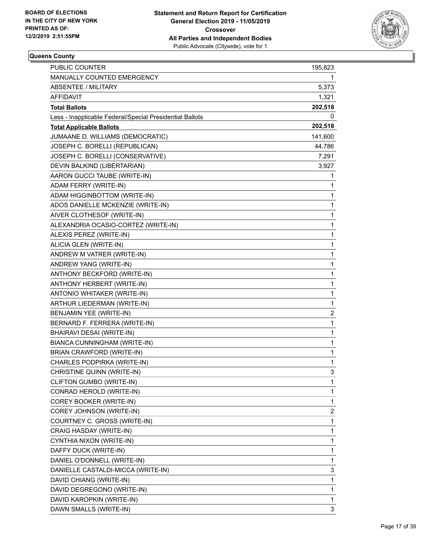

| <b>PUBLIC COUNTER</b>                                    | 195,823                 |
|----------------------------------------------------------|-------------------------|
| MANUALLY COUNTED EMERGENCY                               | 1.                      |
| <b>ABSENTEE / MILITARY</b>                               | 5,373                   |
| <b>AFFIDAVIT</b>                                         | 1,321                   |
| <b>Total Ballots</b>                                     | 202,518                 |
| Less - Inapplicable Federal/Special Presidential Ballots | 0                       |
| <b>Total Applicable Ballots</b>                          | 202,518                 |
| JUMAANE D. WILLIAMS (DEMOCRATIC)                         | 141,600                 |
| JOSEPH C. BORELLI (REPUBLICAN)                           | 44,786                  |
| JOSEPH C. BORELLI (CONSERVATIVE)                         | 7,291                   |
| DEVIN BALKIND (LIBERTARIAN)                              | 3,927                   |
| AARON GUCCI TAUBE (WRITE-IN)                             | 1                       |
| ADAM FERRY (WRITE-IN)                                    | 1                       |
| ADAM HIGGINBOTTOM (WRITE-IN)                             | 1                       |
| ADOS DANIELLE MCKENZIE (WRITE-IN)                        | 1                       |
| AIVER CLOTHESOF (WRITE-IN)                               | $\mathbf 1$             |
| ALEXANDRIA OCASIO-CORTEZ (WRITE-IN)                      | 1                       |
| ALEXIS PEREZ (WRITE-IN)                                  | 1                       |
| ALICIA GLEN (WRITE-IN)                                   | 1                       |
| ANDREW M VATRER (WRITE-IN)                               | 1                       |
| ANDREW YANG (WRITE-IN)                                   | 1                       |
| ANTHONY BECKFORD (WRITE-IN)                              | $\mathbf 1$             |
| ANTHONY HERBERT (WRITE-IN)                               | 1                       |
| ANTONIO WHITAKER (WRITE-IN)                              | 1                       |
| ARTHUR LIEDERMAN (WRITE-IN)                              | 1                       |
| BENJAMIN YEE (WRITE-IN)                                  | $\overline{\mathbf{c}}$ |
| BERNARD F. FERRERA (WRITE-IN)                            | 1                       |
| BHAIRAVI DESAI (WRITE-IN)                                | $\mathbf{1}$            |
| BIANCA CUNNINGHAM (WRITE-IN)                             | 1                       |
| BRIAN CRAWFORD (WRITE-IN)                                | 1                       |
| CHARLES PODPIRKA (WRITE-IN)                              | 1                       |
| CHRISTINE QUINN (WRITE-IN)                               | 3                       |
| CLIFTON GUMBO (WRITE-IN)                                 | 1                       |
| CONRAD HEROLD (WRITE-IN)                                 | 1                       |
| COREY BOOKER (WRITE-IN)                                  | 1                       |
| COREY JOHNSON (WRITE-IN)                                 | 2                       |
| COURTNEY C. GROSS (WRITE-IN)                             | 1                       |
| CRAIG HASDAY (WRITE-IN)                                  | 1                       |
| CYNTHIA NIXON (WRITE-IN)                                 | 1                       |
| DAFFY DUCK (WRITE-IN)                                    | 1                       |
| DANIEL O'DONNELL (WRITE-IN)                              | 1                       |
| DANIELLE CASTALDI-MICCA (WRITE-IN)                       | 3                       |
| DAVID CHIANG (WRITE-IN)                                  | 1                       |
| DAVID DEGREGONO (WRITE-IN)                               | 1                       |
| DAVID KAROPKIN (WRITE-IN)                                | 1                       |
| DAWN SMALLS (WRITE-IN)                                   | 3                       |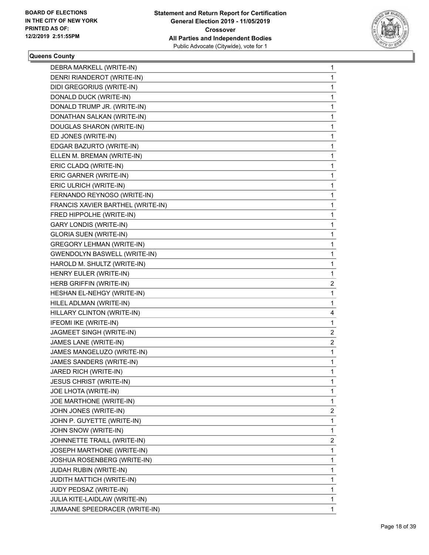

| DEBRA MARKELL (WRITE-IN)            | 1              |
|-------------------------------------|----------------|
| DENRI RIANDEROT (WRITE-IN)          | $\mathbf{1}$   |
| DIDI GREGORIUS (WRITE-IN)           | 1              |
| DONALD DUCK (WRITE-IN)              | 1              |
| DONALD TRUMP JR. (WRITE-IN)         | 1              |
| DONATHAN SALKAN (WRITE-IN)          | 1              |
| DOUGLAS SHARON (WRITE-IN)           | 1              |
| ED JONES (WRITE-IN)                 | 1              |
| EDGAR BAZURTO (WRITE-IN)            | 1              |
| ELLEN M. BREMAN (WRITE-IN)          | 1              |
| ERIC CLADQ (WRITE-IN)               | 1              |
| ERIC GARNER (WRITE-IN)              | 1              |
| ERIC ULRICH (WRITE-IN)              | 1              |
| FERNANDO REYNOSO (WRITE-IN)         | 1              |
| FRANCIS XAVIER BARTHEL (WRITE-IN)   | 1              |
| FRED HIPPOLHE (WRITE-IN)            | 1              |
| <b>GARY LONDIS (WRITE-IN)</b>       | 1              |
| <b>GLORIA SUEN (WRITE-IN)</b>       | 1              |
| <b>GREGORY LEHMAN (WRITE-IN)</b>    | 1              |
| <b>GWENDOLYN BASWELL (WRITE-IN)</b> | 1              |
| HAROLD M. SHULTZ (WRITE-IN)         | 1              |
| HENRY EULER (WRITE-IN)              | 1              |
| HERB GRIFFIN (WRITE-IN)             | $\overline{c}$ |
| HESHAN EL-NEHGY (WRITE-IN)          | 1              |
| HILEL ADLMAN (WRITE-IN)             | 1              |
| HILLARY CLINTON (WRITE-IN)          | 4              |
| IFEOMI IKE (WRITE-IN)               | 1              |
| JAGMEET SINGH (WRITE-IN)            | 2              |
| JAMES LANE (WRITE-IN)               | $\overline{c}$ |
| JAMES MANGELUZO (WRITE-IN)          | 1              |
| JAMES SANDERS (WRITE-IN)            | 1              |
| JARED RICH (WRITE-IN)               | $\mathbf{1}$   |
| <b>JESUS CHRIST (WRITE-IN)</b>      | 1              |
| <b>JOE LHOTA (WRITE-IN)</b>         | 1              |
| JOE MARTHONE (WRITE-IN)             | 1              |
| JOHN JONES (WRITE-IN)               | 2              |
| JOHN P. GUYETTE (WRITE-IN)          | 1              |
| JOHN SNOW (WRITE-IN)                | 1              |
| JOHNNETTE TRAILL (WRITE-IN)         | 2              |
| JOSEPH MARTHONE (WRITE-IN)          | 1              |
| JOSHUA ROSENBERG (WRITE-IN)         | 1              |
| JUDAH RUBIN (WRITE-IN)              | 1              |
| JUDITH MATTICH (WRITE-IN)           | 1              |
| JUDY PEDSAZ (WRITE-IN)              | $\mathbf{1}$   |
| JULIA KITE-LAIDLAW (WRITE-IN)       | 1              |
| JUMAANE SPEEDRACER (WRITE-IN)       | 1              |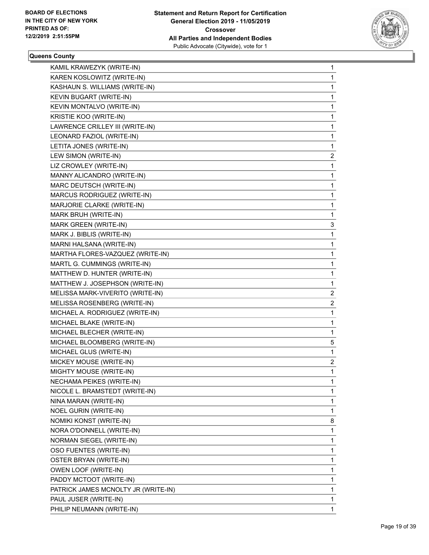

| KAMIL KRAWEZYK (WRITE-IN)           | 1              |
|-------------------------------------|----------------|
| KAREN KOSLOWITZ (WRITE-IN)          | 1              |
| KASHAUN S. WILLIAMS (WRITE-IN)      | $\mathbf{1}$   |
| KEVIN BUGART (WRITE-IN)             | 1              |
| KEVIN MONTALVO (WRITE-IN)           | 1              |
| KRISTIE KOO (WRITE-IN)              | 1              |
| LAWRENCE CRILLEY III (WRITE-IN)     | 1              |
| LEONARD FAZIOL (WRITE-IN)           | 1              |
| LETITA JONES (WRITE-IN)             | 1              |
| LEW SIMON (WRITE-IN)                | 2              |
| LIZ CROWLEY (WRITE-IN)              | 1              |
| MANNY ALICANDRO (WRITE-IN)          | 1              |
| MARC DEUTSCH (WRITE-IN)             | 1              |
| MARCUS RODRIGUEZ (WRITE-IN)         | 1              |
| MARJORIE CLARKE (WRITE-IN)          | 1              |
| MARK BRUH (WRITE-IN)                | 1              |
| MARK GREEN (WRITE-IN)               | 3              |
| MARK J. BIBLIS (WRITE-IN)           | 1              |
| MARNI HALSANA (WRITE-IN)            | 1              |
| MARTHA FLORES-VAZQUEZ (WRITE-IN)    | 1              |
| MARTL G. CUMMINGS (WRITE-IN)        | 1              |
| MATTHEW D. HUNTER (WRITE-IN)        | 1              |
| MATTHEW J. JOSEPHSON (WRITE-IN)     | 1              |
| MELISSA MARK-VIVERITO (WRITE-IN)    | 2              |
| MELISSA ROSENBERG (WRITE-IN)        | $\overline{c}$ |
| MICHAEL A. RODRIGUEZ (WRITE-IN)     | 1              |
| MICHAEL BLAKE (WRITE-IN)            | 1              |
| MICHAEL BLECHER (WRITE-IN)          | 1              |
| MICHAEL BLOOMBERG (WRITE-IN)        | 5              |
| MICHAEL GLUS (WRITE-IN)             | 1              |
| MICKEY MOUSE (WRITE-IN)             | $\overline{c}$ |
| MIGHTY MOUSE (WRITE-IN)             | 1              |
| NECHAMA PEIKES (WRITE-IN)           | 1              |
| NICOLE L. BRAMSTEDT (WRITE-IN)      | 1              |
| NINA MARAN (WRITE-IN)               | 1              |
| <b>NOEL GURIN (WRITE-IN)</b>        | $\mathbf 1$    |
| NOMIKI KONST (WRITE-IN)             | 8              |
| NORA O'DONNELL (WRITE-IN)           | 1              |
| NORMAN SIEGEL (WRITE-IN)            | 1              |
| OSO FUENTES (WRITE-IN)              | 1              |
| OSTER BRYAN (WRITE-IN)              | 1              |
| OWEN LOOF (WRITE-IN)                | 1              |
| PADDY MCTOOT (WRITE-IN)             | 1              |
| PATRICK JAMES MCNOLTY JR (WRITE-IN) | 1              |
| PAUL JUSER (WRITE-IN)               | 1              |
| PHILIP NEUMANN (WRITE-IN)           | 1              |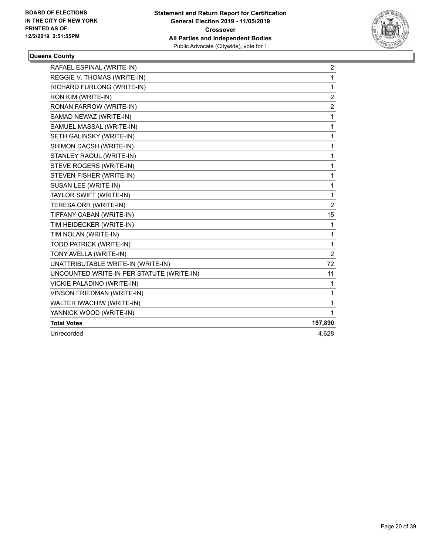

| RAFAEL ESPINAL (WRITE-IN)                 | 2              |
|-------------------------------------------|----------------|
| REGGIE V. THOMAS (WRITE-IN)               | $\mathbf{1}$   |
| RICHARD FURLONG (WRITE-IN)                | 1              |
| RON KIM (WRITE-IN)                        | 2              |
| RONAN FARROW (WRITE-IN)                   | $\overline{c}$ |
| SAMAD NEWAZ (WRITE-IN)                    | 1              |
| SAMUEL MASSAL (WRITE-IN)                  | 1              |
| SETH GALINSKY (WRITE-IN)                  | 1              |
| SHIMON DACSH (WRITE-IN)                   | 1              |
| STANLEY RAOUL (WRITE-IN)                  | 1              |
| STEVE ROGERS (WRITE-IN)                   | 1              |
| STEVEN FISHER (WRITE-IN)                  | 1              |
| SUSAN LEE (WRITE-IN)                      | 1              |
| TAYLOR SWIFT (WRITE-IN)                   | 1              |
| TERESA ORR (WRITE-IN)                     | $\overline{2}$ |
| TIFFANY CABAN (WRITE-IN)                  | 15             |
| TIM HEIDECKER (WRITE-IN)                  | 1              |
| TIM NOLAN (WRITE-IN)                      | 1              |
| TODD PATRICK (WRITE-IN)                   | 1              |
| TONY AVELLA (WRITE-IN)                    | $\overline{2}$ |
| UNATTRIBUTABLE WRITE-IN (WRITE-IN)        | 72             |
| UNCOUNTED WRITE-IN PER STATUTE (WRITE-IN) | 11             |
| VICKIE PALADINO (WRITE-IN)                | 1              |
| VINSON FRIEDMAN (WRITE-IN)                | 1              |
| WALTER IWACHIW (WRITE-IN)                 | 1              |
| YANNICK WOOD (WRITE-IN)                   | 1              |
| <b>Total Votes</b>                        | 197,890        |
| Unrecorded                                | 4,628          |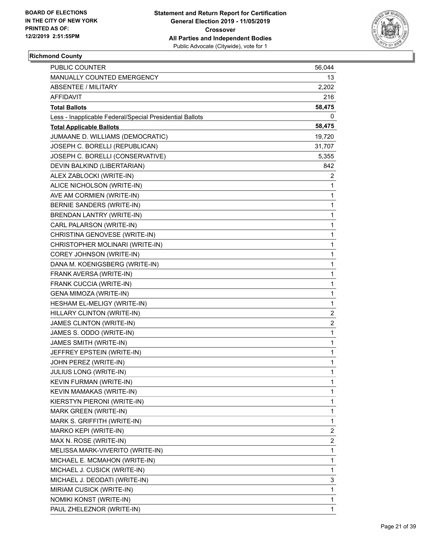

# **Richmond County**

| <b>PUBLIC COUNTER</b>                                    | 56,044         |
|----------------------------------------------------------|----------------|
| MANUALLY COUNTED EMERGENCY                               | 13             |
| <b>ABSENTEE / MILITARY</b>                               | 2,202          |
| AFFIDAVIT                                                | 216            |
| <b>Total Ballots</b>                                     | 58,475         |
| Less - Inapplicable Federal/Special Presidential Ballots | 0              |
| <b>Total Applicable Ballots</b>                          | 58,475         |
| JUMAANE D. WILLIAMS (DEMOCRATIC)                         | 19,720         |
| JOSEPH C. BORELLI (REPUBLICAN)                           | 31,707         |
| JOSEPH C. BORELLI (CONSERVATIVE)                         | 5,355          |
| DEVIN BALKIND (LIBERTARIAN)                              | 842            |
| ALEX ZABLOCKI (WRITE-IN)                                 | 2              |
| ALICE NICHOLSON (WRITE-IN)                               | 1              |
| AVE AM CORMIEN (WRITE-IN)                                | 1              |
| BERNIE SANDERS (WRITE-IN)                                | 1              |
| <b>BRENDAN LANTRY (WRITE-IN)</b>                         | 1              |
| CARL PALARSON (WRITE-IN)                                 | 1              |
| CHRISTINA GENOVESE (WRITE-IN)                            | 1              |
| CHRISTOPHER MOLINARI (WRITE-IN)                          | 1              |
| COREY JOHNSON (WRITE-IN)                                 | 1              |
| DANA M. KOENIGSBERG (WRITE-IN)                           | 1              |
| FRANK AVERSA (WRITE-IN)                                  | 1              |
| FRANK CUCCIA (WRITE-IN)                                  | 1              |
| GENA MIMOZA (WRITE-IN)                                   | 1              |
| HESHAM EL-MELIGY (WRITE-IN)                              | 1              |
| HILLARY CLINTON (WRITE-IN)                               | $\overline{c}$ |
| JAMES CLINTON (WRITE-IN)                                 | $\overline{c}$ |
| JAMES S. ODDO (WRITE-IN)                                 | 1              |
| JAMES SMITH (WRITE-IN)                                   | 1              |
| JEFFREY EPSTEIN (WRITE-IN)                               | 1              |
| JOHN PEREZ (WRITE-IN)                                    | 1              |
| JULIUS LONG (WRITE-IN)                                   | $\mathbf{1}$   |
| KEVIN FURMAN (WRITE-IN)                                  | 1              |
| KEVIN MAMAKAS (WRITE-IN)                                 | 1              |
| KIERSTYN PIERONI (WRITE-IN)                              | 1              |
| MARK GREEN (WRITE-IN)                                    | 1              |
| MARK S. GRIFFITH (WRITE-IN)                              | 1              |
| MARKO KEPI (WRITE-IN)                                    | 2              |
| MAX N. ROSE (WRITE-IN)                                   | 2              |
| MELISSA MARK-VIVERITO (WRITE-IN)                         | 1              |
| MICHAEL E. MCMAHON (WRITE-IN)                            | 1              |
| MICHAEL J. CUSICK (WRITE-IN)                             | 1              |
| MICHAEL J. DEODATI (WRITE-IN)                            | 3              |
| MIRIAM CUSICK (WRITE-IN)                                 | 1              |
| NOMIKI KONST (WRITE-IN)                                  | 1              |
| PAUL ZHELEZNOR (WRITE-IN)                                | 1              |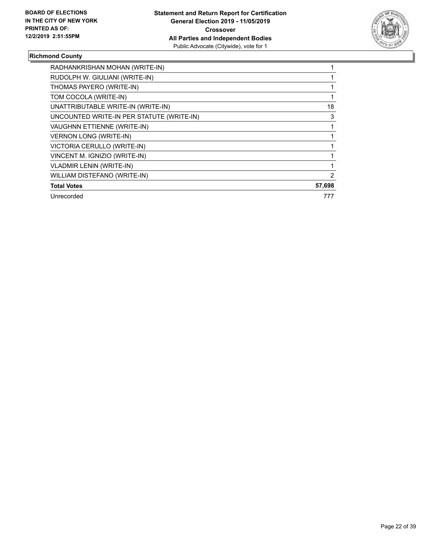

# **Richmond County**

| RADHANKRISHAN MOHAN (WRITE-IN)            |        |
|-------------------------------------------|--------|
| RUDOLPH W. GIULIANI (WRITE-IN)            |        |
| THOMAS PAYERO (WRITE-IN)                  |        |
| TOM COCOLA (WRITE-IN)                     |        |
| UNATTRIBUTABLE WRITE-IN (WRITE-IN)        | 18     |
| UNCOUNTED WRITE-IN PER STATUTE (WRITE-IN) | 3      |
| VAUGHNN ETTIENNE (WRITE-IN)               |        |
| <b>VERNON LONG (WRITE-IN)</b>             |        |
| VICTORIA CERULLO (WRITE-IN)               |        |
| VINCENT M. IGNIZIO (WRITE-IN)             |        |
| <b>VLADMIR LENIN (WRITE-IN)</b>           |        |
| WILLIAM DISTEFANO (WRITE-IN)              | 2      |
| <b>Total Votes</b>                        | 57,698 |
| Unrecorded                                | 777    |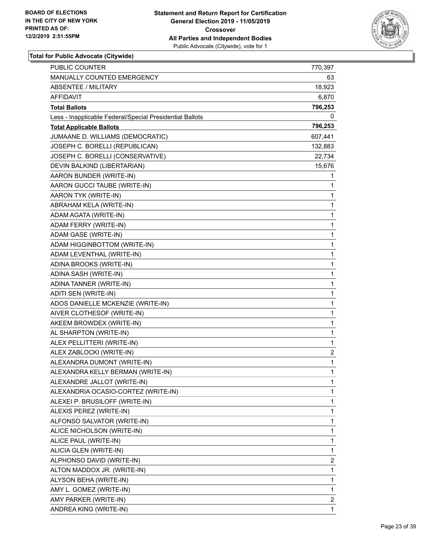

| <b>PUBLIC COUNTER</b>                                    | 770,397      |
|----------------------------------------------------------|--------------|
| MANUALLY COUNTED EMERGENCY                               | 63           |
| <b>ABSENTEE / MILITARY</b>                               | 18,923       |
| AFFIDAVIT                                                | 6,870        |
| <b>Total Ballots</b>                                     | 796,253      |
| Less - Inapplicable Federal/Special Presidential Ballots | 0            |
| <b>Total Applicable Ballots</b>                          | 796,253      |
| JUMAANE D. WILLIAMS (DEMOCRATIC)                         | 607,441      |
| JOSEPH C. BORELLI (REPUBLICAN)                           | 132,883      |
| JOSEPH C. BORELLI (CONSERVATIVE)                         | 22,734       |
| DEVIN BALKIND (LIBERTARIAN)                              | 15,676       |
| AARON BUNDER (WRITE-IN)                                  | 1            |
| AARON GUCCI TAUBE (WRITE-IN)                             | 1            |
| AARON TYK (WRITE-IN)                                     | 1            |
| ABRAHAM KELA (WRITE-IN)                                  | 1            |
| ADAM AGATA (WRITE-IN)                                    | 1            |
| ADAM FERRY (WRITE-IN)                                    | 1            |
| ADAM GASE (WRITE-IN)                                     | 1            |
| ADAM HIGGINBOTTOM (WRITE-IN)                             | $\mathbf 1$  |
| ADAM LEVENTHAL (WRITE-IN)                                | 1            |
| ADINA BROOKS (WRITE-IN)                                  | 1            |
| ADINA SASH (WRITE-IN)                                    | $\mathbf 1$  |
| ADINA TANNER (WRITE-IN)                                  | 1            |
| ADITI SEN (WRITE-IN)                                     | 1            |
| ADOS DANIELLE MCKENZIE (WRITE-IN)                        | $\mathbf 1$  |
| AIVER CLOTHESOF (WRITE-IN)                               | 1            |
| AKEEM BROWDEX (WRITE-IN)                                 | 1            |
| AL SHARPTON (WRITE-IN)                                   | 1            |
| ALEX PELLITTERI (WRITE-IN)                               | 1            |
| ALEX ZABLOCKI (WRITE-IN)                                 | 2            |
| ALEXANDRA DUMONT (WRITE-IN)                              | $\mathbf{1}$ |
| ALEXANDRA KELLY BERMAN (WRITE-IN)                        | $\mathbf{1}$ |
| ALEXANDRE JALLOT (WRITE-IN)                              | 1            |
| ALEXANDRIA OCASIO-CORTEZ (WRITE-IN)                      | 1            |
| ALEXEI P. BRUSILOFF (WRITE-IN)                           | 1            |
| ALEXIS PEREZ (WRITE-IN)                                  | 1            |
| ALFONSO SALVATOR (WRITE-IN)                              | 1            |
| ALICE NICHOLSON (WRITE-IN)                               | 1            |
| ALICE PAUL (WRITE-IN)                                    | 1            |
| ALICIA GLEN (WRITE-IN)                                   | 1            |
| ALPHONSO DAVID (WRITE-IN)                                | 2            |
| ALTON MADDOX JR. (WRITE-IN)                              | 1            |
| ALYSON BEHA (WRITE-IN)                                   | 1            |
| AMY L. GOMEZ (WRITE-IN)                                  | 1            |
| AMY PARKER (WRITE-IN)                                    | 2            |
| ANDREA KING (WRITE-IN)                                   | 1            |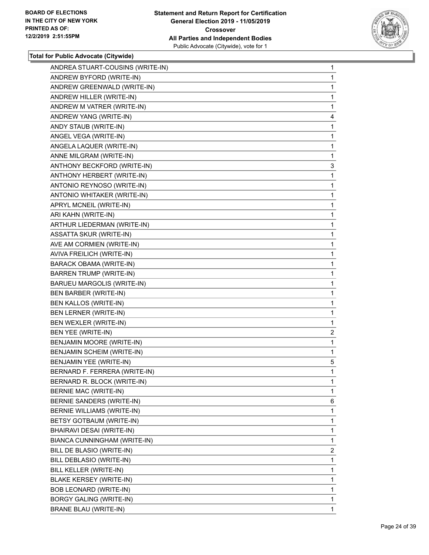

| ANDREA STUART-COUSINS (WRITE-IN) | 1              |
|----------------------------------|----------------|
| ANDREW BYFORD (WRITE-IN)         | 1              |
| ANDREW GREENWALD (WRITE-IN)      | 1              |
| ANDREW HILLER (WRITE-IN)         | 1              |
| ANDREW M VATRER (WRITE-IN)       | 1              |
| ANDREW YANG (WRITE-IN)           | 4              |
| ANDY STAUB (WRITE-IN)            | 1              |
| ANGEL VEGA (WRITE-IN)            | 1              |
| ANGELA LAQUER (WRITE-IN)         | 1              |
| ANNE MILGRAM (WRITE-IN)          | 1              |
| ANTHONY BECKFORD (WRITE-IN)      | 3              |
| ANTHONY HERBERT (WRITE-IN)       | 1              |
| ANTONIO REYNOSO (WRITE-IN)       | 1              |
| ANTONIO WHITAKER (WRITE-IN)      | 1              |
| APRYL MCNEIL (WRITE-IN)          | 1              |
| ARI KAHN (WRITE-IN)              | 1              |
| ARTHUR LIEDERMAN (WRITE-IN)      | 1              |
| <b>ASSATTA SKUR (WRITE-IN)</b>   | 1              |
| AVE AM CORMIEN (WRITE-IN)        | 1              |
| AVIVA FREILICH (WRITE-IN)        | 1              |
| <b>BARACK OBAMA (WRITE-IN)</b>   | 1              |
| <b>BARREN TRUMP (WRITE-IN)</b>   | 1              |
| BARUEU MARGOLIS (WRITE-IN)       | 1              |
| <b>BEN BARBER (WRITE-IN)</b>     | 1              |
| BEN KALLOS (WRITE-IN)            | 1              |
| BEN LERNER (WRITE-IN)            | 1              |
| BEN WEXLER (WRITE-IN)            | 1              |
| BEN YEE (WRITE-IN)               | $\overline{2}$ |
| BENJAMIN MOORE (WRITE-IN)        | 1              |
| BENJAMIN SCHEIM (WRITE-IN)       | 1              |
| BENJAMIN YEE (WRITE-IN)          | 5              |
| BERNARD F. FERRERA (WRITE-IN)    | 1              |
| BERNARD R. BLOCK (WRITE-IN)      | 1              |
| BERNIE MAC (WRITE-IN)            | 1              |
| BERNIE SANDERS (WRITE-IN)        | 6              |
| BERNIE WILLIAMS (WRITE-IN)       | 1              |
| BETSY GOTBAUM (WRITE-IN)         | 1              |
| BHAIRAVI DESAI (WRITE-IN)        | 1              |
| BIANCA CUNNINGHAM (WRITE-IN)     | 1              |
| BILL DE BLASIO (WRITE-IN)        | $\overline{2}$ |
| BILL DEBLASIO (WRITE-IN)         | 1              |
| BILL KELLER (WRITE-IN)           | 1              |
| <b>BLAKE KERSEY (WRITE-IN)</b>   | 1              |
| BOB LEONARD (WRITE-IN)           | 1              |
| <b>BORGY GALING (WRITE-IN)</b>   | 1              |
| <b>BRANE BLAU (WRITE-IN)</b>     | 1              |
|                                  |                |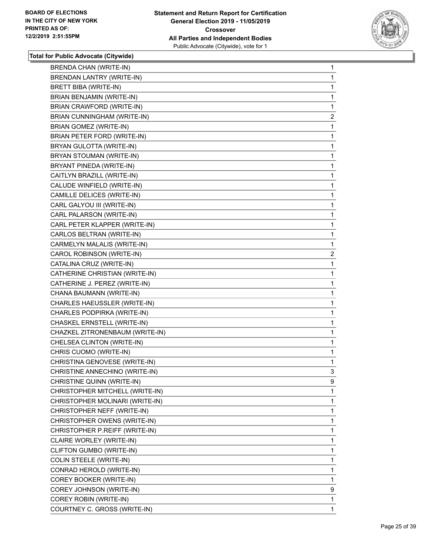

| <b>BRENDA CHAN (WRITE-IN)</b>   | 1              |
|---------------------------------|----------------|
| BRENDAN LANTRY (WRITE-IN)       | 1              |
| <b>BRETT BIBA (WRITE-IN)</b>    | 1              |
| BRIAN BENJAMIN (WRITE-IN)       | 1              |
| BRIAN CRAWFORD (WRITE-IN)       | 1              |
| BRIAN CUNNINGHAM (WRITE-IN)     | 2              |
| <b>BRIAN GOMEZ (WRITE-IN)</b>   | 1              |
| BRIAN PETER FORD (WRITE-IN)     | 1              |
| BRYAN GULOTTA (WRITE-IN)        | 1              |
| BRYAN STOUMAN (WRITE-IN)        | 1              |
| BRYANT PINEDA (WRITE-IN)        | 1              |
| CAITLYN BRAZILL (WRITE-IN)      | 1              |
| CALUDE WINFIELD (WRITE-IN)      | 1              |
| CAMILLE DELICES (WRITE-IN)      | 1              |
| CARL GALYOU III (WRITE-IN)      | 1              |
| CARL PALARSON (WRITE-IN)        | 1              |
| CARL PETER KLAPPER (WRITE-IN)   | 1              |
| CARLOS BELTRAN (WRITE-IN)       | 1              |
| CARMELYN MALALIS (WRITE-IN)     | 1              |
| CAROL ROBINSON (WRITE-IN)       | $\overline{c}$ |
| CATALINA CRUZ (WRITE-IN)        | 1              |
| CATHERINE CHRISTIAN (WRITE-IN)  | 1              |
| CATHERINE J. PEREZ (WRITE-IN)   | 1              |
| CHANA BAUMANN (WRITE-IN)        | 1              |
| CHARLES HAEUSSLER (WRITE-IN)    | 1              |
| CHARLES PODPIRKA (WRITE-IN)     | 1              |
| CHASKEL ERNSTELL (WRITE-IN)     | 1              |
| CHAZKEL ZITRONENBAUM (WRITE-IN) | 1              |
| CHELSEA CLINTON (WRITE-IN)      | 1              |
| CHRIS CUOMO (WRITE-IN)          | 1              |
| CHRISTINA GENOVESE (WRITE-IN)   | 1              |
| CHRISTINE ANNECHINO (WRITE-IN)  | 3              |
| CHRISTINE QUINN (WRITE-IN)      | 9              |
| CHRISTOPHER MITCHELL (WRITE-IN) | 1              |
| CHRISTOPHER MOLINARI (WRITE-IN) | 1              |
| CHRISTOPHER NEFF (WRITE-IN)     | 1              |
| CHRISTOPHER OWENS (WRITE-IN)    | 1              |
| CHRISTOPHER P.REIFF (WRITE-IN)  | 1              |
| CLAIRE WORLEY (WRITE-IN)        | 1              |
| CLIFTON GUMBO (WRITE-IN)        | 1              |
| <b>COLIN STEELE (WRITE-IN)</b>  | 1              |
| CONRAD HEROLD (WRITE-IN)        | 1              |
| COREY BOOKER (WRITE-IN)         | 1              |
| COREY JOHNSON (WRITE-IN)        | 9              |
| COREY ROBIN (WRITE-IN)          | 1              |
| COURTNEY C. GROSS (WRITE-IN)    | $\mathbf{1}$   |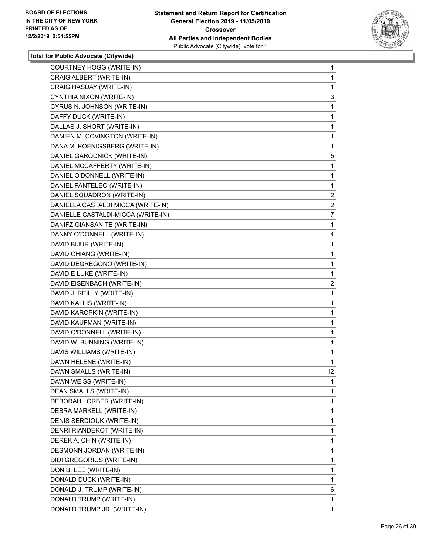

| COURTNEY HOGG (WRITE-IN)           | $\mathbf{1}$   |
|------------------------------------|----------------|
| CRAIG ALBERT (WRITE-IN)            | 1              |
| CRAIG HASDAY (WRITE-IN)            | 1              |
| CYNTHIA NIXON (WRITE-IN)           | 3              |
| CYRUS N. JOHNSON (WRITE-IN)        | 1              |
| DAFFY DUCK (WRITE-IN)              | 1              |
| DALLAS J. SHORT (WRITE-IN)         | 1              |
| DAMIEN M. COVINGTON (WRITE-IN)     | 1              |
| DANA M. KOENIGSBERG (WRITE-IN)     | 1              |
| DANIEL GARODNICK (WRITE-IN)        | 5              |
| DANIEL MCCAFFERTY (WRITE-IN)       | 1              |
| DANIEL O'DONNELL (WRITE-IN)        | 1              |
| DANIEL PANTELEO (WRITE-IN)         | 1              |
| DANIEL SQUADRON (WRITE-IN)         | $\overline{2}$ |
| DANIELLA CASTALDI MICCA (WRITE-IN) | $\overline{2}$ |
| DANIELLE CASTALDI-MICCA (WRITE-IN) | 7              |
| DANIFZ GIANSANITE (WRITE-IN)       | 1              |
| DANNY O'DONNELL (WRITE-IN)         | 4              |
| DAVID BIJUR (WRITE-IN)             | 1              |
| DAVID CHIANG (WRITE-IN)            | 1              |
| DAVID DEGREGONO (WRITE-IN)         | 1              |
| DAVID E LUKE (WRITE-IN)            | 1              |
| DAVID EISENBACH (WRITE-IN)         | $\overline{c}$ |
| DAVID J. REILLY (WRITE-IN)         | 1              |
| DAVID KALLIS (WRITE-IN)            | 1              |
| DAVID KAROPKIN (WRITE-IN)          | 1              |
| DAVID KAUFMAN (WRITE-IN)           | 1              |
| DAVID O'DONNELL (WRITE-IN)         | 1              |
| DAVID W. BUNNING (WRITE-IN)        | 1              |
| DAVIS WILLIAMS (WRITE-IN)          | 1              |
| DAWN HELENE (WRITE-IN)             | $\mathbf{1}$   |
| DAWN SMALLS (WRITE-IN)             | 12             |
| DAWN WEISS (WRITE-IN)              | 1              |
| DEAN SMALLS (WRITE-IN)             | 1              |
| DEBORAH LORBER (WRITE-IN)          | 1              |
| DEBRA MARKELL (WRITE-IN)           | 1              |
| DENIS SERDIOUK (WRITE-IN)          | 1              |
| DENRI RIANDEROT (WRITE-IN)         | 1              |
| DEREK A. CHIN (WRITE-IN)           | 1              |
| DESMONN JORDAN (WRITE-IN)          | 1              |
| DIDI GREGORIUS (WRITE-IN)          | 1              |
| DON B. LEE (WRITE-IN)              | 1              |
| DONALD DUCK (WRITE-IN)             | 1              |
| DONALD J. TRUMP (WRITE-IN)         | 6              |
| DONALD TRUMP (WRITE-IN)            | 1              |
| DONALD TRUMP JR. (WRITE-IN)        | $\mathbf{1}$   |
|                                    |                |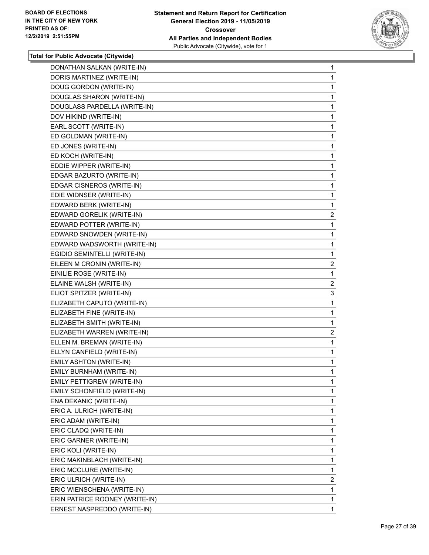

| DONATHAN SALKAN (WRITE-IN)     | $\mathbf{1}$   |
|--------------------------------|----------------|
| DORIS MARTINEZ (WRITE-IN)      | 1              |
| DOUG GORDON (WRITE-IN)         | 1              |
| DOUGLAS SHARON (WRITE-IN)      | 1              |
| DOUGLASS PARDELLA (WRITE-IN)   | 1              |
| DOV HIKIND (WRITE-IN)          | 1              |
| EARL SCOTT (WRITE-IN)          | $\mathbf{1}$   |
| ED GOLDMAN (WRITE-IN)          | $\mathbf{1}$   |
| ED JONES (WRITE-IN)            | 1              |
| ED KOCH (WRITE-IN)             | 1              |
| EDDIE WIPPER (WRITE-IN)        | 1              |
| EDGAR BAZURTO (WRITE-IN)       | 1              |
| EDGAR CISNEROS (WRITE-IN)      | $\mathbf{1}$   |
| EDIE WIDNSER (WRITE-IN)        | 1              |
| EDWARD BERK (WRITE-IN)         | 1              |
| EDWARD GORELIK (WRITE-IN)      | 2              |
| EDWARD POTTER (WRITE-IN)       | 1              |
| EDWARD SNOWDEN (WRITE-IN)      | 1              |
| EDWARD WADSWORTH (WRITE-IN)    | $\mathbf{1}$   |
| EGIDIO SEMINTELLI (WRITE-IN)   | $\mathbf{1}$   |
| EILEEN M CRONIN (WRITE-IN)     | $\mathbf{2}$   |
| EINILIE ROSE (WRITE-IN)        | 1              |
| ELAINE WALSH (WRITE-IN)        | $\overline{a}$ |
| ELIOT SPITZER (WRITE-IN)       | 3              |
| ELIZABETH CAPUTO (WRITE-IN)    | 1              |
| ELIZABETH FINE (WRITE-IN)      | $\mathbf{1}$   |
| ELIZABETH SMITH (WRITE-IN)     | 1              |
| ELIZABETH WARREN (WRITE-IN)    | 2              |
| ELLEN M. BREMAN (WRITE-IN)     | 1              |
| ELLYN CANFIELD (WRITE-IN)      | 1              |
| EMILY ASHTON (WRITE-IN)        | $\mathbf{1}$   |
| EMILY BURNHAM (WRITE-IN)       | 1              |
| EMILY PETTIGREW (WRITE-IN)     | 1              |
| EMILY SCHONFIELD (WRITE-IN)    | 1              |
| ENA DEKANIC (WRITE-IN)         | 1              |
| ERIC A. ULRICH (WRITE-IN)      | 1              |
| ERIC ADAM (WRITE-IN)           | 1              |
| ERIC CLADQ (WRITE-IN)          | 1              |
| ERIC GARNER (WRITE-IN)         | 1              |
| ERIC KOLI (WRITE-IN)           | 1              |
| ERIC MAKINBLACH (WRITE-IN)     | 1              |
| ERIC MCCLURE (WRITE-IN)        | 1              |
| ERIC ULRICH (WRITE-IN)         | $\overline{2}$ |
| ERIC WIENSCHENA (WRITE-IN)     | 1              |
| ERIN PATRICE ROONEY (WRITE-IN) | 1              |
| ERNEST NASPREDDO (WRITE-IN)    | 1              |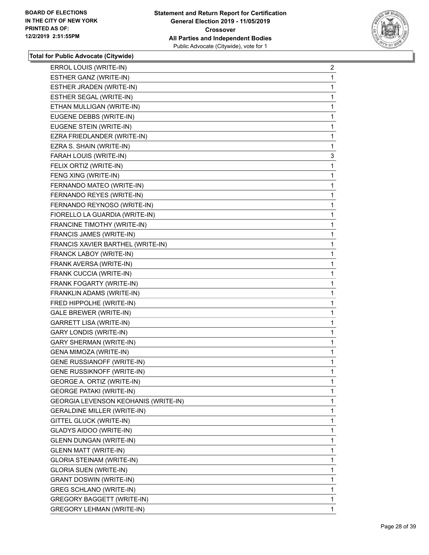

| ERROL LOUIS (WRITE-IN)               | $\overline{2}$ |
|--------------------------------------|----------------|
| ESTHER GANZ (WRITE-IN)               | 1              |
| ESTHER JRADEN (WRITE-IN)             | 1              |
| ESTHER SEGAL (WRITE-IN)              | 1              |
| ETHAN MULLIGAN (WRITE-IN)            | 1              |
| EUGENE DEBBS (WRITE-IN)              | 1              |
| EUGENE STEIN (WRITE-IN)              | 1              |
| EZRA FRIEDLANDER (WRITE-IN)          | 1              |
| EZRA S. SHAIN (WRITE-IN)             | 1              |
| FARAH LOUIS (WRITE-IN)               | 3              |
| FELIX ORTIZ (WRITE-IN)               | 1              |
| FENG XING (WRITE-IN)                 | 1              |
| FERNANDO MATEO (WRITE-IN)            | 1              |
| FERNANDO REYES (WRITE-IN)            | 1              |
| FERNANDO REYNOSO (WRITE-IN)          | 1              |
| FIORELLO LA GUARDIA (WRITE-IN)       | 1              |
| FRANCINE TIMOTHY (WRITE-IN)          | 1              |
| FRANCIS JAMES (WRITE-IN)             | 1              |
| FRANCIS XAVIER BARTHEL (WRITE-IN)    | 1              |
| FRANCK LABOY (WRITE-IN)              | 1              |
| FRANK AVERSA (WRITE-IN)              | 1              |
| FRANK CUCCIA (WRITE-IN)              | 1              |
| FRANK FOGARTY (WRITE-IN)             | 1              |
| FRANKLIN ADAMS (WRITE-IN)            | 1              |
| FRED HIPPOLHE (WRITE-IN)             | 1              |
| GALE BREWER (WRITE-IN)               | 1              |
| <b>GARRETT LISA (WRITE-IN)</b>       | 1              |
| <b>GARY LONDIS (WRITE-IN)</b>        | 1              |
| <b>GARY SHERMAN (WRITE-IN)</b>       | 1              |
| GENA MIMOZA (WRITE-IN)               | 1              |
| GENE RUSSIANOFF (WRITE-IN)           | 1              |
| GENE RUSSIKNOFF (WRITE-IN)           | 1              |
| GEORGE A. ORTIZ (WRITE-IN)           | 1              |
| <b>GEORGE PATAKI (WRITE-IN)</b>      | $\mathbf{1}$   |
| GEORGIA LEVENSON KEOHANIS (WRITE-IN) | 1              |
| <b>GERALDINE MILLER (WRITE-IN)</b>   | 1              |
| GITTEL GLUCK (WRITE-IN)              | 1              |
| GLADYS AIDOO (WRITE-IN)              | 1              |
| <b>GLENN DUNGAN (WRITE-IN)</b>       | 1              |
| <b>GLENN MATT (WRITE-IN)</b>         | 1              |
| GLORIA STEINAM (WRITE-IN)            | 1              |
| <b>GLORIA SUEN (WRITE-IN)</b>        | 1              |
| <b>GRANT DOSWIN (WRITE-IN)</b>       | 1              |
| <b>GREG SCHLANO (WRITE-IN)</b>       | 1              |
| GREGORY BAGGETT (WRITE-IN)           | 1              |
| <b>GREGORY LEHMAN (WRITE-IN)</b>     | $\mathbf{1}$   |
|                                      |                |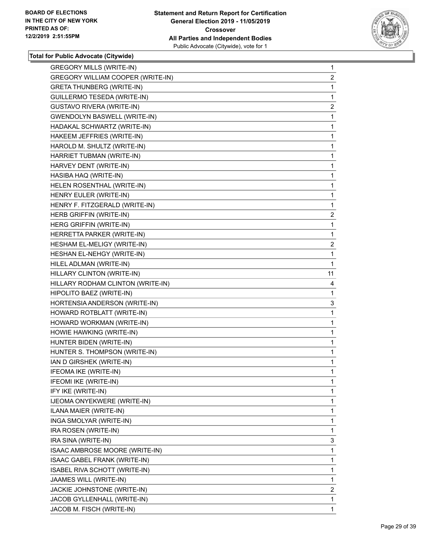

| <b>GREGORY MILLS (WRITE-IN)</b>     | $\mathbf{1}$   |
|-------------------------------------|----------------|
| GREGORY WILLIAM COOPER (WRITE-IN)   | $\overline{2}$ |
| <b>GRETA THUNBERG (WRITE-IN)</b>    | 1              |
| GUILLERMO TESEDA (WRITE-IN)         | 1              |
| GUSTAVO RIVERA (WRITE-IN)           | $\overline{2}$ |
| <b>GWENDOLYN BASWELL (WRITE-IN)</b> | 1              |
| HADAKAL SCHWARTZ (WRITE-IN)         | 1              |
| HAKEEM JEFFRIES (WRITE-IN)          | 1              |
| HAROLD M. SHULTZ (WRITE-IN)         | 1              |
| HARRIET TUBMAN (WRITE-IN)           | 1              |
| HARVEY DENT (WRITE-IN)              | 1              |
| HASIBA HAQ (WRITE-IN)               | 1              |
| HELEN ROSENTHAL (WRITE-IN)          | 1              |
| HENRY EULER (WRITE-IN)              | 1              |
| HENRY F. FITZGERALD (WRITE-IN)      | 1              |
| HERB GRIFFIN (WRITE-IN)             | $\overline{c}$ |
| HERG GRIFFIN (WRITE-IN)             | 1              |
| HERRETTA PARKER (WRITE-IN)          | 1              |
| HESHAM EL-MELIGY (WRITE-IN)         | $\overline{a}$ |
| HESHAN EL-NEHGY (WRITE-IN)          | 1              |
| HILEL ADLMAN (WRITE-IN)             | 1              |
| HILLARY CLINTON (WRITE-IN)          | 11             |
| HILLARY RODHAM CLINTON (WRITE-IN)   | 4              |
| HIPOLITO BAEZ (WRITE-IN)            | 1              |
| HORTENSIA ANDERSON (WRITE-IN)       | 3              |
| HOWARD ROTBLATT (WRITE-IN)          | 1              |
| HOWARD WORKMAN (WRITE-IN)           | 1              |
| HOWIE HAWKING (WRITE-IN)            | 1              |
| HUNTER BIDEN (WRITE-IN)             | 1              |
| HUNTER S. THOMPSON (WRITE-IN)       | 1              |
| IAN D GIRSHEK (WRITE-IN)            | 1              |
| IFEOMA IKE (WRITE-IN)               | $\mathbf{1}$   |
| IFEOMI IKE (WRITE-IN)               | 1              |
| IFY IKE (WRITE-IN)                  | 1              |
| IJEOMA ONYEKWERE (WRITE-IN)         | 1              |
| ILANA MAIER (WRITE-IN)              | 1              |
| INGA SMOLYAR (WRITE-IN)             | 1              |
| IRA ROSEN (WRITE-IN)                | 1              |
| IRA SINA (WRITE-IN)                 | 3              |
| ISAAC AMBROSE MOORE (WRITE-IN)      | 1              |
|                                     |                |
| ISAAC GABEL FRANK (WRITE-IN)        | 1              |
| ISABEL RIVA SCHOTT (WRITE-IN)       | 1              |
| JAAMES WILL (WRITE-IN)              | 1              |
| JACKIE JOHNSTONE (WRITE-IN)         | 2              |
| JACOB GYLLENHALL (WRITE-IN)         | 1              |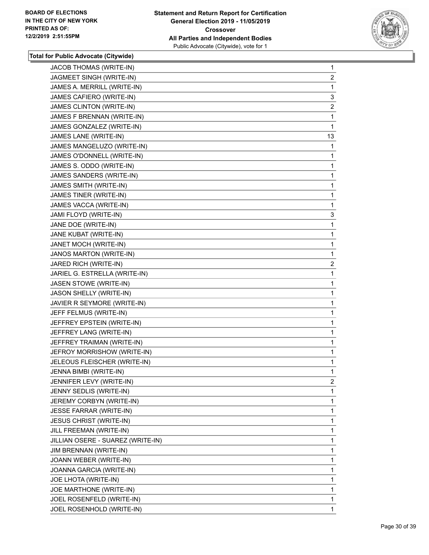

| JACOB THOMAS (WRITE-IN)           | $\mathbf{1}$   |
|-----------------------------------|----------------|
| JAGMEET SINGH (WRITE-IN)          | 2              |
| JAMES A. MERRILL (WRITE-IN)       | 1              |
| JAMES CAFIERO (WRITE-IN)          | 3              |
| JAMES CLINTON (WRITE-IN)          | $\overline{2}$ |
| JAMES F BRENNAN (WRITE-IN)        | 1              |
| JAMES GONZALEZ (WRITE-IN)         | 1              |
| JAMES LANE (WRITE-IN)             | 13             |
| JAMES MANGELUZO (WRITE-IN)        | 1              |
| JAMES O'DONNELL (WRITE-IN)        | 1              |
| JAMES S. ODDO (WRITE-IN)          | 1              |
| JAMES SANDERS (WRITE-IN)          | 1              |
| JAMES SMITH (WRITE-IN)            | 1              |
| JAMES TINER (WRITE-IN)            | 1              |
| JAMES VACCA (WRITE-IN)            | 1              |
| JAMI FLOYD (WRITE-IN)             | 3              |
| JANE DOE (WRITE-IN)               | 1              |
| JANE KUBAT (WRITE-IN)             | 1              |
| JANET MOCH (WRITE-IN)             | 1              |
| <b>JANOS MARTON (WRITE-IN)</b>    | 1              |
| JARED RICH (WRITE-IN)             | $\overline{2}$ |
| JARIEL G. ESTRELLA (WRITE-IN)     | 1              |
| JASEN STOWE (WRITE-IN)            | 1              |
| JASON SHELLY (WRITE-IN)           | 1              |
| JAVIER R SEYMORE (WRITE-IN)       | 1              |
| JEFF FELMUS (WRITE-IN)            | 1              |
| JEFFREY EPSTEIN (WRITE-IN)        | 1              |
| JEFFREY LANG (WRITE-IN)           | 1              |
| JEFFREY TRAIMAN (WRITE-IN)        | 1              |
| JEFROY MORRISHOW (WRITE-IN)       | 1              |
| JELEOUS FLEISCHER (WRITE-IN)      | 1              |
| JENNA BIMBI (WRITE-IN)            | 1              |
| JENNIFER LEVY (WRITE-IN)          | 2              |
| JENNY SEDLIS (WRITE-IN)           | 1              |
| JEREMY CORBYN (WRITE-IN)          | 1              |
| JESSE FARRAR (WRITE-IN)           | 1              |
| <b>JESUS CHRIST (WRITE-IN)</b>    | 1              |
| JILL FREEMAN (WRITE-IN)           | 1              |
| JILLIAN OSERE - SUAREZ (WRITE-IN) | 1              |
| JIM BRENNAN (WRITE-IN)            | 1              |
| JOANN WEBER (WRITE-IN)            | 1              |
| JOANNA GARCIA (WRITE-IN)          | 1              |
| JOE LHOTA (WRITE-IN)              | 1              |
| JOE MARTHONE (WRITE-IN)           | 1              |
| JOEL ROSENFELD (WRITE-IN)         | 1              |
| JOEL ROSENHOLD (WRITE-IN)         | $\mathbf{1}$   |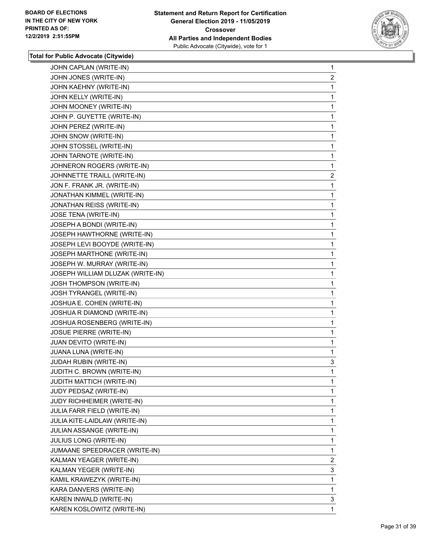

| JOHN JONES (WRITE-IN)<br>JOHN KAEHNY (WRITE-IN)<br>JOHN KELLY (WRITE-IN)<br>JOHN MOONEY (WRITE-IN)<br>JOHN P. GUYETTE (WRITE-IN)<br>JOHN PEREZ (WRITE-IN)<br>JOHN SNOW (WRITE-IN)<br>JOHN STOSSEL (WRITE-IN)<br>JOHN TARNOTE (WRITE-IN)<br>JOHNERON ROGERS (WRITE-IN)<br>JOHNNETTE TRAILL (WRITE-IN)<br>JON F. FRANK JR. (WRITE-IN)<br>JONATHAN KIMMEL (WRITE-IN)<br>JONATHAN REISS (WRITE-IN)<br>JOSE TENA (WRITE-IN)<br>JOSEPH A BONDI (WRITE-IN)<br>JOSEPH HAWTHORNE (WRITE-IN)<br>JOSEPH LEVI BOOYDE (WRITE-IN)<br>JOSEPH MARTHONE (WRITE-IN)<br>JOSEPH W. MURRAY (WRITE-IN)<br>JOSEPH WILLIAM DLUZAK (WRITE-IN)<br>JOSH THOMPSON (WRITE-IN)<br>JOSH TYRANGEL (WRITE-IN)<br>JOSHUA E. COHEN (WRITE-IN)<br>JOSHUA R DIAMOND (WRITE-IN)<br>JOSHUA ROSENBERG (WRITE-IN)<br>JOSUE PIERRE (WRITE-IN)<br>JUAN DEVITO (WRITE-IN)<br>JUANA LUNA (WRITE-IN)<br>JUDAH RUBIN (WRITE-IN)<br>JUDITH C. BROWN (WRITE-IN)<br>JUDITH MATTICH (WRITE-IN)<br>JUDY PEDSAZ (WRITE-IN)<br><b>JUDY RICHHEIMER (WRITE-IN)</b><br>JULIA FARR FIELD (WRITE-IN)<br>JULIA KITE-LAIDLAW (WRITE-IN)<br>JULIAN ASSANGE (WRITE-IN)<br>JULIUS LONG (WRITE-IN)<br>JUMAANE SPEEDRACER (WRITE-IN)<br>KALMAN YEAGER (WRITE-IN)<br>KALMAN YEGER (WRITE-IN)<br>KAMIL KRAWEZYK (WRITE-IN)<br>KARA DANVERS (WRITE-IN)<br>KAREN INWALD (WRITE-IN) | $\mathbf{1}$   |
|--------------------------------------------------------------------------------------------------------------------------------------------------------------------------------------------------------------------------------------------------------------------------------------------------------------------------------------------------------------------------------------------------------------------------------------------------------------------------------------------------------------------------------------------------------------------------------------------------------------------------------------------------------------------------------------------------------------------------------------------------------------------------------------------------------------------------------------------------------------------------------------------------------------------------------------------------------------------------------------------------------------------------------------------------------------------------------------------------------------------------------------------------------------------------------------------------------------------------------------------------------------------------------------------------------------|----------------|
|                                                                                                                                                                                                                                                                                                                                                                                                                                                                                                                                                                                                                                                                                                                                                                                                                                                                                                                                                                                                                                                                                                                                                                                                                                                                                                              | 2              |
|                                                                                                                                                                                                                                                                                                                                                                                                                                                                                                                                                                                                                                                                                                                                                                                                                                                                                                                                                                                                                                                                                                                                                                                                                                                                                                              | 1              |
|                                                                                                                                                                                                                                                                                                                                                                                                                                                                                                                                                                                                                                                                                                                                                                                                                                                                                                                                                                                                                                                                                                                                                                                                                                                                                                              | 1              |
|                                                                                                                                                                                                                                                                                                                                                                                                                                                                                                                                                                                                                                                                                                                                                                                                                                                                                                                                                                                                                                                                                                                                                                                                                                                                                                              | 1              |
|                                                                                                                                                                                                                                                                                                                                                                                                                                                                                                                                                                                                                                                                                                                                                                                                                                                                                                                                                                                                                                                                                                                                                                                                                                                                                                              | 1              |
|                                                                                                                                                                                                                                                                                                                                                                                                                                                                                                                                                                                                                                                                                                                                                                                                                                                                                                                                                                                                                                                                                                                                                                                                                                                                                                              | 1              |
|                                                                                                                                                                                                                                                                                                                                                                                                                                                                                                                                                                                                                                                                                                                                                                                                                                                                                                                                                                                                                                                                                                                                                                                                                                                                                                              | 1              |
|                                                                                                                                                                                                                                                                                                                                                                                                                                                                                                                                                                                                                                                                                                                                                                                                                                                                                                                                                                                                                                                                                                                                                                                                                                                                                                              | 1              |
|                                                                                                                                                                                                                                                                                                                                                                                                                                                                                                                                                                                                                                                                                                                                                                                                                                                                                                                                                                                                                                                                                                                                                                                                                                                                                                              | 1              |
|                                                                                                                                                                                                                                                                                                                                                                                                                                                                                                                                                                                                                                                                                                                                                                                                                                                                                                                                                                                                                                                                                                                                                                                                                                                                                                              | 1              |
|                                                                                                                                                                                                                                                                                                                                                                                                                                                                                                                                                                                                                                                                                                                                                                                                                                                                                                                                                                                                                                                                                                                                                                                                                                                                                                              | $\overline{2}$ |
|                                                                                                                                                                                                                                                                                                                                                                                                                                                                                                                                                                                                                                                                                                                                                                                                                                                                                                                                                                                                                                                                                                                                                                                                                                                                                                              | 1              |
|                                                                                                                                                                                                                                                                                                                                                                                                                                                                                                                                                                                                                                                                                                                                                                                                                                                                                                                                                                                                                                                                                                                                                                                                                                                                                                              | 1              |
|                                                                                                                                                                                                                                                                                                                                                                                                                                                                                                                                                                                                                                                                                                                                                                                                                                                                                                                                                                                                                                                                                                                                                                                                                                                                                                              | 1              |
|                                                                                                                                                                                                                                                                                                                                                                                                                                                                                                                                                                                                                                                                                                                                                                                                                                                                                                                                                                                                                                                                                                                                                                                                                                                                                                              | 1              |
|                                                                                                                                                                                                                                                                                                                                                                                                                                                                                                                                                                                                                                                                                                                                                                                                                                                                                                                                                                                                                                                                                                                                                                                                                                                                                                              | 1              |
|                                                                                                                                                                                                                                                                                                                                                                                                                                                                                                                                                                                                                                                                                                                                                                                                                                                                                                                                                                                                                                                                                                                                                                                                                                                                                                              | 1              |
|                                                                                                                                                                                                                                                                                                                                                                                                                                                                                                                                                                                                                                                                                                                                                                                                                                                                                                                                                                                                                                                                                                                                                                                                                                                                                                              | 1              |
|                                                                                                                                                                                                                                                                                                                                                                                                                                                                                                                                                                                                                                                                                                                                                                                                                                                                                                                                                                                                                                                                                                                                                                                                                                                                                                              | 1              |
|                                                                                                                                                                                                                                                                                                                                                                                                                                                                                                                                                                                                                                                                                                                                                                                                                                                                                                                                                                                                                                                                                                                                                                                                                                                                                                              | 1              |
|                                                                                                                                                                                                                                                                                                                                                                                                                                                                                                                                                                                                                                                                                                                                                                                                                                                                                                                                                                                                                                                                                                                                                                                                                                                                                                              | 1              |
|                                                                                                                                                                                                                                                                                                                                                                                                                                                                                                                                                                                                                                                                                                                                                                                                                                                                                                                                                                                                                                                                                                                                                                                                                                                                                                              | 1              |
|                                                                                                                                                                                                                                                                                                                                                                                                                                                                                                                                                                                                                                                                                                                                                                                                                                                                                                                                                                                                                                                                                                                                                                                                                                                                                                              | 1              |
|                                                                                                                                                                                                                                                                                                                                                                                                                                                                                                                                                                                                                                                                                                                                                                                                                                                                                                                                                                                                                                                                                                                                                                                                                                                                                                              | 1              |
|                                                                                                                                                                                                                                                                                                                                                                                                                                                                                                                                                                                                                                                                                                                                                                                                                                                                                                                                                                                                                                                                                                                                                                                                                                                                                                              | 1              |
|                                                                                                                                                                                                                                                                                                                                                                                                                                                                                                                                                                                                                                                                                                                                                                                                                                                                                                                                                                                                                                                                                                                                                                                                                                                                                                              | 1              |
|                                                                                                                                                                                                                                                                                                                                                                                                                                                                                                                                                                                                                                                                                                                                                                                                                                                                                                                                                                                                                                                                                                                                                                                                                                                                                                              | 1              |
|                                                                                                                                                                                                                                                                                                                                                                                                                                                                                                                                                                                                                                                                                                                                                                                                                                                                                                                                                                                                                                                                                                                                                                                                                                                                                                              | 1              |
|                                                                                                                                                                                                                                                                                                                                                                                                                                                                                                                                                                                                                                                                                                                                                                                                                                                                                                                                                                                                                                                                                                                                                                                                                                                                                                              | 1              |
|                                                                                                                                                                                                                                                                                                                                                                                                                                                                                                                                                                                                                                                                                                                                                                                                                                                                                                                                                                                                                                                                                                                                                                                                                                                                                                              | 3              |
|                                                                                                                                                                                                                                                                                                                                                                                                                                                                                                                                                                                                                                                                                                                                                                                                                                                                                                                                                                                                                                                                                                                                                                                                                                                                                                              | 1              |
|                                                                                                                                                                                                                                                                                                                                                                                                                                                                                                                                                                                                                                                                                                                                                                                                                                                                                                                                                                                                                                                                                                                                                                                                                                                                                                              | 1              |
|                                                                                                                                                                                                                                                                                                                                                                                                                                                                                                                                                                                                                                                                                                                                                                                                                                                                                                                                                                                                                                                                                                                                                                                                                                                                                                              | 1              |
|                                                                                                                                                                                                                                                                                                                                                                                                                                                                                                                                                                                                                                                                                                                                                                                                                                                                                                                                                                                                                                                                                                                                                                                                                                                                                                              | 1              |
|                                                                                                                                                                                                                                                                                                                                                                                                                                                                                                                                                                                                                                                                                                                                                                                                                                                                                                                                                                                                                                                                                                                                                                                                                                                                                                              | 1              |
|                                                                                                                                                                                                                                                                                                                                                                                                                                                                                                                                                                                                                                                                                                                                                                                                                                                                                                                                                                                                                                                                                                                                                                                                                                                                                                              | 1              |
|                                                                                                                                                                                                                                                                                                                                                                                                                                                                                                                                                                                                                                                                                                                                                                                                                                                                                                                                                                                                                                                                                                                                                                                                                                                                                                              | 1              |
|                                                                                                                                                                                                                                                                                                                                                                                                                                                                                                                                                                                                                                                                                                                                                                                                                                                                                                                                                                                                                                                                                                                                                                                                                                                                                                              | 1              |
|                                                                                                                                                                                                                                                                                                                                                                                                                                                                                                                                                                                                                                                                                                                                                                                                                                                                                                                                                                                                                                                                                                                                                                                                                                                                                                              | 1              |
|                                                                                                                                                                                                                                                                                                                                                                                                                                                                                                                                                                                                                                                                                                                                                                                                                                                                                                                                                                                                                                                                                                                                                                                                                                                                                                              | 2              |
|                                                                                                                                                                                                                                                                                                                                                                                                                                                                                                                                                                                                                                                                                                                                                                                                                                                                                                                                                                                                                                                                                                                                                                                                                                                                                                              | 3              |
|                                                                                                                                                                                                                                                                                                                                                                                                                                                                                                                                                                                                                                                                                                                                                                                                                                                                                                                                                                                                                                                                                                                                                                                                                                                                                                              | 1              |
|                                                                                                                                                                                                                                                                                                                                                                                                                                                                                                                                                                                                                                                                                                                                                                                                                                                                                                                                                                                                                                                                                                                                                                                                                                                                                                              | 1              |
|                                                                                                                                                                                                                                                                                                                                                                                                                                                                                                                                                                                                                                                                                                                                                                                                                                                                                                                                                                                                                                                                                                                                                                                                                                                                                                              | 3              |
| KAREN KOSLOWITZ (WRITE-IN)                                                                                                                                                                                                                                                                                                                                                                                                                                                                                                                                                                                                                                                                                                                                                                                                                                                                                                                                                                                                                                                                                                                                                                                                                                                                                   | $\mathbf{1}$   |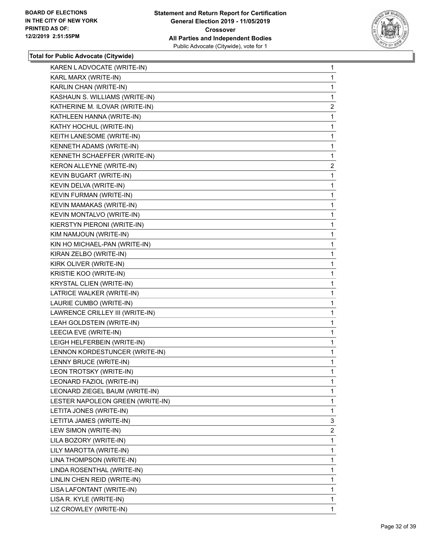

| KAREN L ADVOCATE (WRITE-IN)      | 1              |
|----------------------------------|----------------|
| KARL MARX (WRITE-IN)             | 1.             |
| KARLIN CHAN (WRITE-IN)           | 1              |
| KASHAUN S. WILLIAMS (WRITE-IN)   | 1              |
| KATHERINE M. ILOVAR (WRITE-IN)   | $\overline{2}$ |
| KATHLEEN HANNA (WRITE-IN)        | 1              |
| KATHY HOCHUL (WRITE-IN)          | 1              |
| KEITH LANESOME (WRITE-IN)        | 1              |
| KENNETH ADAMS (WRITE-IN)         | $\mathbf{1}$   |
| KENNETH SCHAEFFER (WRITE-IN)     | 1              |
| KERON ALLEYNE (WRITE-IN)         | $\overline{2}$ |
| KEVIN BUGART (WRITE-IN)          | 1              |
| KEVIN DELVA (WRITE-IN)           | 1              |
| KEVIN FURMAN (WRITE-IN)          | 1              |
| <b>KEVIN MAMAKAS (WRITE-IN)</b>  | 1              |
| KEVIN MONTALVO (WRITE-IN)        | 1              |
| KIERSTYN PIERONI (WRITE-IN)      | 1              |
| KIM NAMJOUN (WRITE-IN)           | 1              |
| KIN HO MICHAEL-PAN (WRITE-IN)    | 1              |
| KIRAN ZELBO (WRITE-IN)           | 1              |
| KIRK OLIVER (WRITE-IN)           | 1              |
| KRISTIE KOO (WRITE-IN)           | 1              |
| KRYSTAL CLIEN (WRITE-IN)         | 1              |
| LATRICE WALKER (WRITE-IN)        | 1              |
| LAURIE CUMBO (WRITE-IN)          | 1              |
| LAWRENCE CRILLEY III (WRITE-IN)  | 1              |
| LEAH GOLDSTEIN (WRITE-IN)        | 1              |
| LEECIA EVE (WRITE-IN)            | 1              |
| LEIGH HELFERBEIN (WRITE-IN)      | 1              |
| LENNON KORDESTUNCER (WRITE-IN)   | 1              |
| LENNY BRUCE (WRITE-IN)           | 1              |
| LEON TROTSKY (WRITE-IN)          | 1              |
| LEONARD FAZIOL (WRITE-IN)        | 1              |
| LEONARD ZIEGEL BAUM (WRITE-IN)   | 1              |
| LESTER NAPOLEON GREEN (WRITE-IN) | 1              |
| LETITA JONES (WRITE-IN)          | 1              |
| LETITIA JAMES (WRITE-IN)         | 3              |
| LEW SIMON (WRITE-IN)             | $\overline{2}$ |
| LILA BOZORY (WRITE-IN)           | 1              |
| LILY MAROTTA (WRITE-IN)          | 1              |
| LINA THOMPSON (WRITE-IN)         | 1              |
| LINDA ROSENTHAL (WRITE-IN)       | 1              |
| LINLIN CHEN REID (WRITE-IN)      | 1              |
| LISA LAFONTANT (WRITE-IN)        | 1              |
| LISA R. KYLE (WRITE-IN)          | 1              |
| LIZ CROWLEY (WRITE-IN)           | $\mathbf{1}$   |
|                                  |                |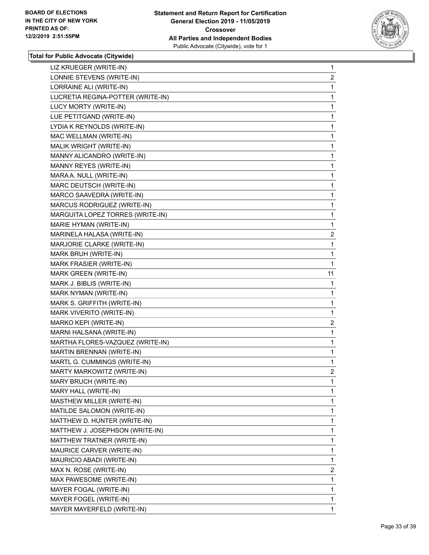

| LIZ KRUEGER (WRITE-IN)            | 1              |
|-----------------------------------|----------------|
| LONNIE STEVENS (WRITE-IN)         | $\overline{2}$ |
| LORRAINE ALI (WRITE-IN)           | 1              |
| LUCRETIA REGINA-POTTER (WRITE-IN) | 1              |
| LUCY MORTY (WRITE-IN)             | 1              |
| LUE PETITGAND (WRITE-IN)          | 1              |
| LYDIA K REYNOLDS (WRITE-IN)       | 1              |
| MAC WELLMAN (WRITE-IN)            | 1              |
| MALIK WRIGHT (WRITE-IN)           | 1              |
| MANNY ALICANDRO (WRITE-IN)        | 1              |
| MANNY REYES (WRITE-IN)            | 1              |
| MARA A. NULL (WRITE-IN)           | 1              |
| MARC DEUTSCH (WRITE-IN)           | 1              |
| MARCO SAAVEDRA (WRITE-IN)         | 1              |
| MARCUS RODRIGUEZ (WRITE-IN)       | 1              |
| MARGUITA LOPEZ TORRES (WRITE-IN)  | 1              |
| MARIE HYMAN (WRITE-IN)            | 1              |
| MARINELA HALASA (WRITE-IN)        | 2              |
| MARJORIE CLARKE (WRITE-IN)        | 1              |
| MARK BRUH (WRITE-IN)              | 1              |
| MARK FRASIER (WRITE-IN)           | 1              |
| MARK GREEN (WRITE-IN)             | 11             |
| MARK J. BIBLIS (WRITE-IN)         | 1              |
| MARK NYMAN (WRITE-IN)             | 1              |
| MARK S. GRIFFITH (WRITE-IN)       | 1              |
| MARK VIVERITO (WRITE-IN)          | 1              |
| MARKO KEPI (WRITE-IN)             | 2              |
| MARNI HALSANA (WRITE-IN)          | 1              |
| MARTHA FLORES-VAZQUEZ (WRITE-IN)  | 1              |
| MARTIN BRENNAN (WRITE-IN)         | 1              |
| MARTL G. CUMMINGS (WRITE-IN)      | 1              |
| MARTY MARKOWITZ (WRITE-IN)        | $\overline{2}$ |
| MARY BRUCH (WRITE-IN)             | 1              |
| MARY HALL (WRITE-IN)              | 1              |
| MASTHEW MILLER (WRITE-IN)         | 1              |
| MATILDE SALOMON (WRITE-IN)        | 1              |
| MATTHEW D. HUNTER (WRITE-IN)      | 1              |
| MATTHEW J. JOSEPHSON (WRITE-IN)   | 1              |
| MATTHEW TRATNER (WRITE-IN)        | 1              |
| MAURICE CARVER (WRITE-IN)         | 1              |
| MAURICIO ABADI (WRITE-IN)         | 1              |
| MAX N. ROSE (WRITE-IN)            | $\overline{2}$ |
| MAX PAWESOME (WRITE-IN)           | 1              |
| MAYER FOGAL (WRITE-IN)            | 1              |
| MAYER FOGEL (WRITE-IN)            | 1              |
| MAYER MAYERFELD (WRITE-IN)        | 1              |
|                                   |                |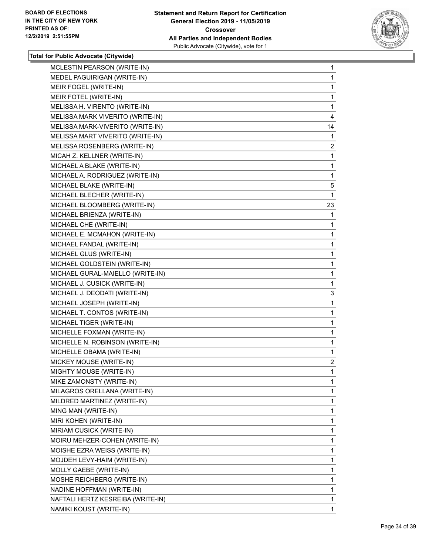

| MCLESTIN PEARSON (WRITE-IN)       | $\mathbf{1}$   |
|-----------------------------------|----------------|
| MEDEL PAGUIRIGAN (WRITE-IN)       | 1              |
| MEIR FOGEL (WRITE-IN)             | 1              |
| MEIR FOTEL (WRITE-IN)             | 1              |
| MELISSA H. VIRENTO (WRITE-IN)     | 1              |
| MELISSA MARK VIVERITO (WRITE-IN)  | 4              |
| MELISSA MARK-VIVERITO (WRITE-IN)  | 14             |
| MELISSA MART VIVERITO (WRITE-IN)  | 1              |
| MELISSA ROSENBERG (WRITE-IN)      | $\overline{2}$ |
| MICAH Z. KELLNER (WRITE-IN)       | 1              |
| MICHAEL A BLAKE (WRITE-IN)        | 1              |
| MICHAEL A. RODRIGUEZ (WRITE-IN)   | 1              |
| MICHAEL BLAKE (WRITE-IN)          | 5              |
| MICHAEL BLECHER (WRITE-IN)        | 1              |
| MICHAEL BLOOMBERG (WRITE-IN)      | 23             |
| MICHAEL BRIENZA (WRITE-IN)        | 1              |
| MICHAEL CHE (WRITE-IN)            | 1              |
| MICHAEL E. MCMAHON (WRITE-IN)     | 1              |
| MICHAEL FANDAL (WRITE-IN)         | 1              |
| MICHAEL GLUS (WRITE-IN)           | 1              |
| MICHAEL GOLDSTEIN (WRITE-IN)      | 1              |
| MICHAEL GURAL-MAIELLO (WRITE-IN)  | 1              |
| MICHAEL J. CUSICK (WRITE-IN)      | 1              |
| MICHAEL J. DEODATI (WRITE-IN)     | 3              |
| MICHAEL JOSEPH (WRITE-IN)         | 1              |
| MICHAEL T. CONTOS (WRITE-IN)      | 1              |
| MICHAEL TIGER (WRITE-IN)          | 1              |
| MICHELLE FOXMAN (WRITE-IN)        | 1              |
| MICHELLE N. ROBINSON (WRITE-IN)   | 1              |
| MICHELLE OBAMA (WRITE-IN)         | 1              |
| MICKEY MOUSE (WRITE-IN)           | $\overline{a}$ |
| MIGHTY MOUSE (WRITE-IN)           | 1              |
| MIKE ZAMONSTY (WRITE-IN)          | 1              |
| MILAGROS ORELLANA (WRITE-IN)      | 1              |
| MILDRED MARTINEZ (WRITE-IN)       | 1              |
| MING MAN (WRITE-IN)               | 1              |
| MIRI KOHEN (WRITE-IN)             | 1              |
| MIRIAM CUSICK (WRITE-IN)          | 1              |
| MOIRU MEHZER-COHEN (WRITE-IN)     | 1              |
| MOISHE EZRA WEISS (WRITE-IN)      | 1              |
| MOJDEH LEVY-HAIM (WRITE-IN)       | 1              |
| MOLLY GAEBE (WRITE-IN)            | 1              |
| MOSHE REICHBERG (WRITE-IN)        | 1              |
| NADINE HOFFMAN (WRITE-IN)         | 1              |
| NAFTALI HERTZ KESREIBA (WRITE-IN) | 1              |
| NAMIKI KOUST (WRITE-IN)           | 1              |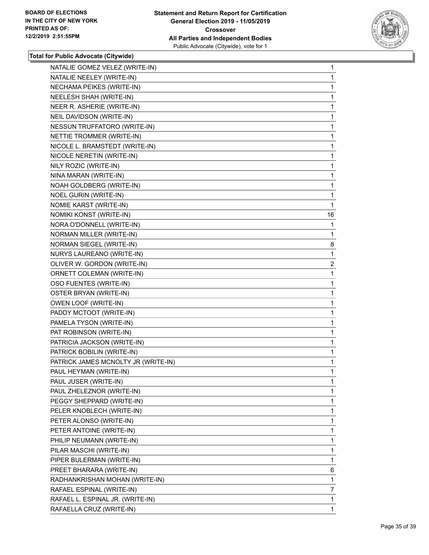

| NATALIE GOMEZ VELEZ (WRITE-IN)      | 1              |
|-------------------------------------|----------------|
| NATALIE NEELEY (WRITE-IN)           | 1              |
| NECHAMA PEIKES (WRITE-IN)           | 1              |
| NEELESH SHAH (WRITE-IN)             | 1              |
| NEER R. ASHERIE (WRITE-IN)          | 1              |
| NEIL DAVIDSON (WRITE-IN)            | 1              |
| NESSUN TRUFFATORO (WRITE-IN)        | 1              |
| NETTIE TROMMER (WRITE-IN)           | 1              |
| NICOLE L. BRAMSTEDT (WRITE-IN)      | 1              |
| NICOLE NERETIN (WRITE-IN)           | 1              |
| NILY ROZIC (WRITE-IN)               | 1              |
| NINA MARAN (WRITE-IN)               | 1              |
| NOAH GOLDBERG (WRITE-IN)            | 1              |
| <b>NOEL GURIN (WRITE-IN)</b>        | 1              |
| NOMIE KARST (WRITE-IN)              | 1              |
| NOMIKI KONST (WRITE-IN)             | 16             |
| NORA O'DONNELL (WRITE-IN)           | 1              |
| NORMAN MILLER (WRITE-IN)            | 1              |
| NORMAN SIEGEL (WRITE-IN)            | 8              |
| NURYS LAUREANO (WRITE-IN)           | 1              |
| OLIVER W. GORDON (WRITE-IN)         | $\overline{2}$ |
| ORNETT COLEMAN (WRITE-IN)           | 1              |
| OSO FUENTES (WRITE-IN)              | 1              |
| OSTER BRYAN (WRITE-IN)              | 1              |
| OWEN LOOF (WRITE-IN)                | 1              |
| PADDY MCTOOT (WRITE-IN)             | 1              |
| PAMELA TYSON (WRITE-IN)             | 1              |
| PAT ROBINSON (WRITE-IN)             | 1              |
| PATRICIA JACKSON (WRITE-IN)         | 1              |
| PATRICK BOBILIN (WRITE-IN)          | 1              |
| PATRICK JAMES MCNOLTY JR (WRITE-IN) | 1              |
| PAUL HEYMAN (WRITE-IN)              | 1              |
| PAUL JUSER (WRITE-IN)               | 1              |
| PAUL ZHELEZNOR (WRITE-IN)           | 1              |
| PEGGY SHEPPARD (WRITE-IN)           | 1              |
| PELER KNOBLECH (WRITE-IN)           | 1              |
| PETER ALONSO (WRITE-IN)             | 1              |
| PETER ANTOINE (WRITE-IN)            | 1              |
| PHILIP NEUMANN (WRITE-IN)           | 1              |
| PILAR MASCHI (WRITE-IN)             | 1              |
| PIPER BULERMAN (WRITE-IN)           | 1              |
| PREET BHARARA (WRITE-IN)            | 6              |
| RADHANKRISHAN MOHAN (WRITE-IN)      | 1              |
| RAFAEL ESPINAL (WRITE-IN)           | 7              |
| RAFAEL L. ESPINAL JR. (WRITE-IN)    | 1              |
| RAFAELLA CRUZ (WRITE-IN)            | 1.             |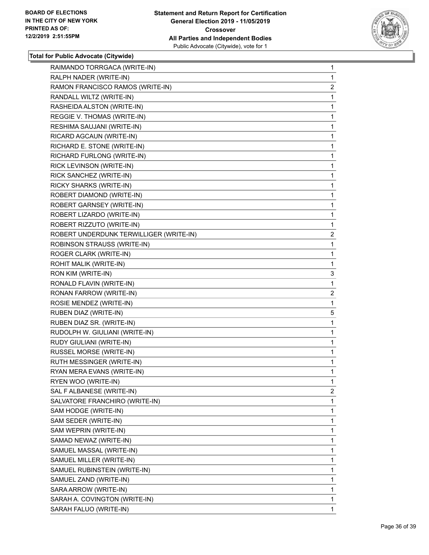

| RAIMANDO TORRGACA (WRITE-IN)            | 1              |
|-----------------------------------------|----------------|
| RALPH NADER (WRITE-IN)                  | 1              |
| RAMON FRANCISCO RAMOS (WRITE-IN)        | 2              |
| RANDALL WILTZ (WRITE-IN)                | 1              |
| RASHEIDA ALSTON (WRITE-IN)              | 1              |
| REGGIE V. THOMAS (WRITE-IN)             | 1              |
| RESHIMA SAUJANI (WRITE-IN)              | 1              |
| RICARD AGCAUN (WRITE-IN)                | 1              |
| RICHARD E. STONE (WRITE-IN)             | 1              |
| RICHARD FURLONG (WRITE-IN)              | 1              |
| RICK LEVINSON (WRITE-IN)                | 1              |
| RICK SANCHEZ (WRITE-IN)                 | 1              |
| RICKY SHARKS (WRITE-IN)                 | 1              |
| ROBERT DIAMOND (WRITE-IN)               | 1              |
| ROBERT GARNSEY (WRITE-IN)               | 1              |
| ROBERT LIZARDO (WRITE-IN)               | 1              |
| ROBERT RIZZUTO (WRITE-IN)               | 1              |
| ROBERT UNDERDUNK TERWILLIGER (WRITE-IN) | $\overline{2}$ |
| <b>ROBINSON STRAUSS (WRITE-IN)</b>      | 1              |
| ROGER CLARK (WRITE-IN)                  | 1              |
| ROHIT MALIK (WRITE-IN)                  | 1              |
| RON KIM (WRITE-IN)                      | 3              |
| RONALD FLAVIN (WRITE-IN)                | 1              |
| RONAN FARROW (WRITE-IN)                 | $\overline{2}$ |
| ROSIE MENDEZ (WRITE-IN)                 | 1              |
| RUBEN DIAZ (WRITE-IN)                   | 5              |
| RUBEN DIAZ SR. (WRITE-IN)               | 1              |
| RUDOLPH W. GIULIANI (WRITE-IN)          | 1              |
| RUDY GIULIANI (WRITE-IN)                | 1              |
| RUSSEL MORSE (WRITE-IN)                 | 1              |
| RUTH MESSINGER (WRITE-IN)               | 1              |
| RYAN MERA EVANS (WRITE-IN)              | 1              |
| RYEN WOO (WRITE-IN)                     | 1              |
| SAL F ALBANESE (WRITE-IN)               | $\overline{2}$ |
| SALVATORE FRANCHIRO (WRITE-IN)          | 1              |
| SAM HODGE (WRITE-IN)                    | 1              |
| SAM SEDER (WRITE-IN)                    | 1              |
| SAM WEPRIN (WRITE-IN)                   | 1              |
| SAMAD NEWAZ (WRITE-IN)                  | 1              |
| SAMUEL MASSAL (WRITE-IN)                | 1              |
| SAMUEL MILLER (WRITE-IN)                | 1              |
| SAMUEL RUBINSTEIN (WRITE-IN)            | 1              |
| SAMUEL ZAND (WRITE-IN)                  | 1              |
| SARA ARROW (WRITE-IN)                   | 1              |
| SARAH A. COVINGTON (WRITE-IN)           | 1              |
| SARAH FALUO (WRITE-IN)                  | $\mathbf{1}$   |
|                                         |                |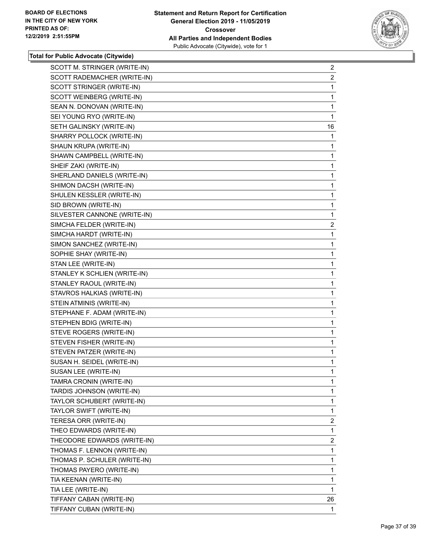

| SCOTT M. STRINGER (WRITE-IN) | $\overline{a}$ |
|------------------------------|----------------|
| SCOTT RADEMACHER (WRITE-IN)  | $\overline{2}$ |
| SCOTT STRINGER (WRITE-IN)    | 1              |
| SCOTT WEINBERG (WRITE-IN)    | 1              |
| SEAN N. DONOVAN (WRITE-IN)   | 1              |
| SEI YOUNG RYO (WRITE-IN)     | 1              |
| SETH GALINSKY (WRITE-IN)     | 16             |
| SHARRY POLLOCK (WRITE-IN)    | 1              |
| SHAUN KRUPA (WRITE-IN)       | 1              |
| SHAWN CAMPBELL (WRITE-IN)    | 1              |
| SHEIF ZAKI (WRITE-IN)        | 1              |
| SHERLAND DANIELS (WRITE-IN)  | 1              |
| SHIMON DACSH (WRITE-IN)      | 1              |
| SHULEN KESSLER (WRITE-IN)    | 1              |
| SID BROWN (WRITE-IN)         | 1              |
| SILVESTER CANNONE (WRITE-IN) | 1              |
| SIMCHA FELDER (WRITE-IN)     | 2              |
| SIMCHA HARDT (WRITE-IN)      | 1              |
| SIMON SANCHEZ (WRITE-IN)     | 1              |
| SOPHIE SHAY (WRITE-IN)       | 1              |
| STAN LEE (WRITE-IN)          | 1              |
| STANLEY K SCHLIEN (WRITE-IN) | 1              |
| STANLEY RAOUL (WRITE-IN)     | 1              |
| STAVROS HALKIAS (WRITE-IN)   | 1              |
| STEIN ATMINIS (WRITE-IN)     | 1              |
| STEPHANE F. ADAM (WRITE-IN)  | 1              |
| STEPHEN BDIG (WRITE-IN)      | 1              |
| STEVE ROGERS (WRITE-IN)      | 1              |
| STEVEN FISHER (WRITE-IN)     | 1              |
| STEVEN PATZER (WRITE-IN)     | 1              |
| SUSAN H. SEIDEL (WRITE-IN)   | 1              |
| SUSAN LEE (WRITE-IN)         | 1              |
| TAMRA CRONIN (WRITE-IN)      | 1              |
| TARDIS JOHNSON (WRITE-IN)    | 1              |
| TAYLOR SCHUBERT (WRITE-IN)   | 1              |
| TAYLOR SWIFT (WRITE-IN)      | 1              |
| TERESA ORR (WRITE-IN)        | $\overline{c}$ |
| THEO EDWARDS (WRITE-IN)      | 1              |
| THEODORE EDWARDS (WRITE-IN)  | $\overline{2}$ |
| THOMAS F. LENNON (WRITE-IN)  | 1              |
| THOMAS P. SCHULER (WRITE-IN) | 1              |
| THOMAS PAYERO (WRITE-IN)     | 1              |
| TIA KEENAN (WRITE-IN)        | 1              |
| TIA LEE (WRITE-IN)           | 1              |
| TIFFANY CABAN (WRITE-IN)     | 26             |
| TIFFANY CUBAN (WRITE-IN)     | 1              |
|                              |                |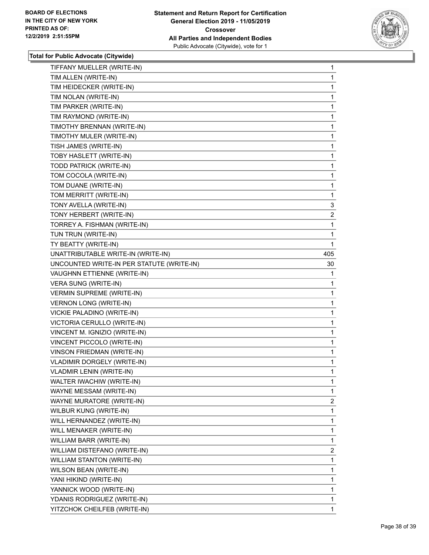

| TIFFANY MUELLER (WRITE-IN)                | $\mathbf 1$    |
|-------------------------------------------|----------------|
| TIM ALLEN (WRITE-IN)                      | 1              |
| TIM HEIDECKER (WRITE-IN)                  | 1              |
| TIM NOLAN (WRITE-IN)                      | 1              |
| TIM PARKER (WRITE-IN)                     | 1              |
| TIM RAYMOND (WRITE-IN)                    | 1              |
| TIMOTHY BRENNAN (WRITE-IN)                | 1              |
| TIMOTHY MULER (WRITE-IN)                  | 1              |
| TISH JAMES (WRITE-IN)                     | 1              |
| TOBY HASLETT (WRITE-IN)                   | 1              |
| TODD PATRICK (WRITE-IN)                   | 1              |
| TOM COCOLA (WRITE-IN)                     | 1              |
| TOM DUANE (WRITE-IN)                      | 1              |
| TOM MERRITT (WRITE-IN)                    | 1              |
| TONY AVELLA (WRITE-IN)                    | 3              |
| TONY HERBERT (WRITE-IN)                   | $\overline{2}$ |
| TORREY A. FISHMAN (WRITE-IN)              | 1              |
| TUN TRUN (WRITE-IN)                       | 1              |
| TY BEATTY (WRITE-IN)                      | $\mathbf{1}$   |
| UNATTRIBUTABLE WRITE-IN (WRITE-IN)        | 405            |
| UNCOUNTED WRITE-IN PER STATUTE (WRITE-IN) | 30             |
| VAUGHNN ETTIENNE (WRITE-IN)               | 1              |
| VERA SUNG (WRITE-IN)                      | 1              |
| <b>VERMIN SUPREME (WRITE-IN)</b>          | 1              |
| <b>VERNON LONG (WRITE-IN)</b>             | 1              |
| VICKIE PALADINO (WRITE-IN)                | 1              |
| VICTORIA CERULLO (WRITE-IN)               | 1              |
| VINCENT M. IGNIZIO (WRITE-IN)             | 1              |
| VINCENT PICCOLO (WRITE-IN)                | 1              |
| VINSON FRIEDMAN (WRITE-IN)                | 1              |
| VLADIMIR DORGELY (WRITE-IN)               | 1              |
| <b>VLADMIR LENIN (WRITE-IN)</b>           | 1              |
| WALTER IWACHIW (WRITE-IN)                 | 1              |
| WAYNE MESSAM (WRITE-IN)                   | $\mathbf{1}$   |
| WAYNE MURATORE (WRITE-IN)                 | $\overline{2}$ |
| WILBUR KUNG (WRITE-IN)                    | 1              |
| WILL HERNANDEZ (WRITE-IN)                 | 1              |
| WILL MENAKER (WRITE-IN)                   | $\mathbf{1}$   |
| WILLIAM BARR (WRITE-IN)                   | 1              |
| WILLIAM DISTEFANO (WRITE-IN)              | $\overline{2}$ |
| WILLIAM STANTON (WRITE-IN)                | 1              |
| WILSON BEAN (WRITE-IN)                    | 1              |
| YANI HIKIND (WRITE-IN)                    | 1              |
| YANNICK WOOD (WRITE-IN)                   | $\mathbf{1}$   |
| YDANIS RODRIGUEZ (WRITE-IN)               | 1              |
| YITZCHOK CHEILFEB (WRITE-IN)              | $\mathbf{1}$   |
|                                           |                |